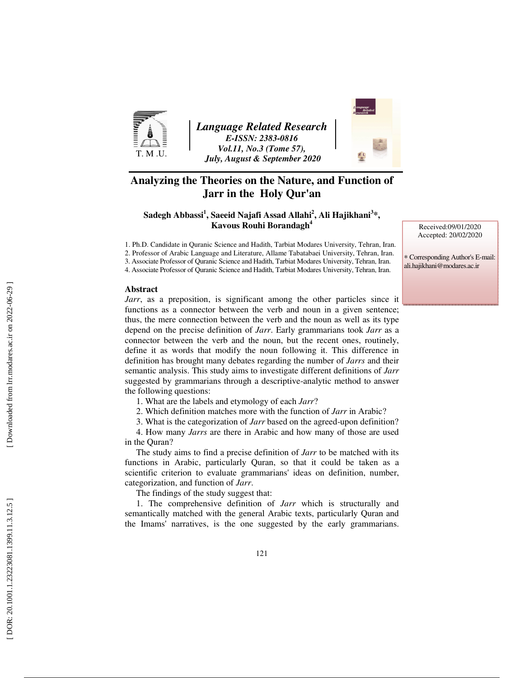

*Language Related Research E-ISSN: 2383-0816 Vol.11, No.3 (Tome 57), July, August & September 2020* 



# **Analyzing the Theories on the Nature, and Function of Jarr in the Holy Qur'an**

**Sadegh Abbassi 1 , Saeeid Najafi Assad Allahi 2 , Ali Hajikhani 3 \*, Kavous Rouhi Borandagh 4**

1. Ph.D. Candidate in Quranic Science and Hadith, Tarbiat Modares University, Tehran, Iran. 2. Professor of Arabic Language and Literature, Allame Tabatabaei University, Tehran, Iran.

3. Associate Professor of Quranic Science and Hadith, Tarbiat Modares University, Tehran, Iran.

4. Associate Professor of Quranic Science and Hadith, Tarbiat Modares University, Tehran, Iran.

#### **Abstract**

*Jarr*, as a preposition, is significant among the other particles since it functions as a connector between the verb and noun in a given sentence; thus, the mere connection between the verb and the noun as well as its type depend on the precise definition of *Jarr*. Early grammarians took *Jarr* as a connector between the verb and the noun, but the recent ones, routinely, define it as words that modify the noun following it. This difference in definition has brought many debates regarding the number of *Jarrs* and their semantic analysis. This study aims to investigate different definitions of *Jarr* suggested by grammarians through a descriptive-analytic method to answer the following questions:

1. What are the labels and etymology of each *Jarr*?

2. Which definition matches more with the function of *Jarr* in Arabic?

3. What is the categorization of *Jarr* based on the agreed-upon definition?

4. How many *Jarrs* are there in Arabic and how many of those are used in the Quran?

The study aims to find a precise definition of *Jarr* to be matched with its functions in Arabic, particularly Quran, so that it could be taken as a scientific criterion to evaluate grammarians' ideas on definition, number, categorization, and function of *Jarr*.

The findings of the study suggest that:

1. The comprehensive definition of *Jarr* which is structurally and semantically matched with the general Arabic texts, particularly Quran and the Imams' narratives, is the one suggested by the early grammarians.

Received:09/01/2020 Accepted: 20/02/2020

∗ Corresponding Author's E-mail: ali.hajikhani@modares.ac.ir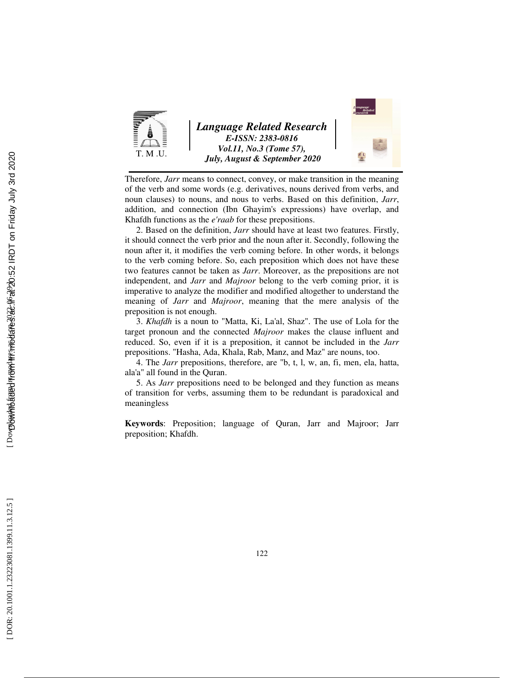

*Language Related Research E-ISSN: 2383-0816 Vol.11, No.3 (Tome 57), July, August & September 2020* 



Therefore, *Jarr* means to connect, convey, or make transition in the meaning of the verb and some words (e.g. derivatives, nouns derived from verbs, and noun clauses) to nouns, and nous to verbs. Based on this definition, *Jarr*, addition, and connection (Ibn Ghayim's expressions) have overlap, and Khafdh functions as the *e'raab* for these prepositions.

2. Based on the definition, *Jarr* should have at least two features. Firstly, it should connect the verb prior and the noun after it. Secondly, following the noun after it, it modifies the verb coming before. In other words, it belongs to the verb coming before. So, each preposition which does not have these two features cannot be taken as *Jarr*. Moreover, as the prepositions are not independent, and *Jarr* and *Majroor* belong to the verb coming prior, it is imperative to analyze the modifier and modified altogether to understand the meaning of *Jarr* and *Majroor*, meaning that the mere analysis of the preposition is not enough.

3. *Khafdh* is a noun to "Matta, Ki, La'al, Shaz". The use of Lola for the target pronoun and the connected *Majroor* makes the clause influent and reduced. So, even if it is a preposition, it cannot be included in the *Jarr* prepositions. "Hasha, Ada, Khala, Rab, Manz, and Maz" are nouns, too.

4. The *Jarr* prepositions, therefore, are "b, t, l, w, an, fi, men, ela, hatta, ala'a" all found in the Quran.

5. As *Jarr* prepositions need to be belonged and they function as means of transition for verbs, assuming them to be redundant is paradoxical and meaningless

**Keywords**: Preposition; language of Quran, Jarr and Majroor; Jarr preposition; Khafdh.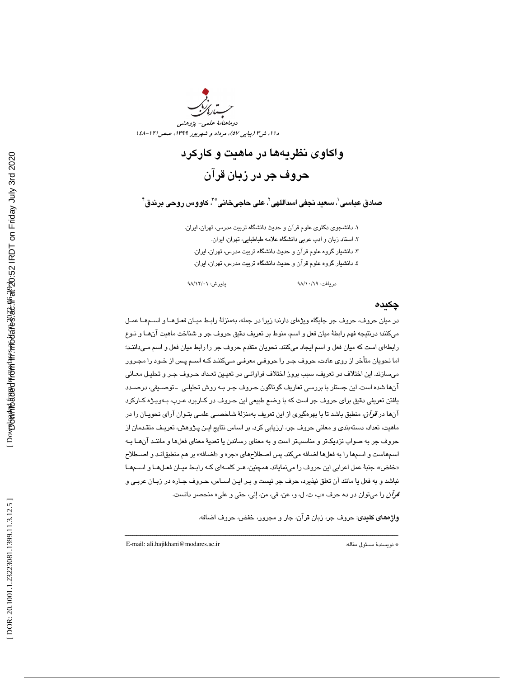

# واكاوي نظريهها در ماهيت و كاركرد حروف جر در زبان قرآن

صادق عباسي ٰ، سعيد نجفي اسداللهي ٰ، علي حاجيخاني ؓ ، ّ كاووس روحي برندق ؑ ۖ

1. دانشجوي دكتري علوم قرآن و حديث دانشگاه تربيت مدرس، تهران، ايران. 2. استاد زبان و ادب عربي دانشگاه علامه طباطبايي، تهران، ايران. 3. دانشيار گروه علوم قرآن و حديث دانشگاه تربيت مدرس، تهران، ايران. 4. دانشيار گروه علوم قرآن و حديث دانشگاه تربيت مدرس، تهران، ايرا ن.

دريافت: 19/ 10/ 98 پذيرش: 01/ 12/ 98

چكيده

در ميان حروف، حروف جر جايگاه ويژهاي دارند؛ زيرا در جمله، بهمنزلة رابـط ميـان فعـل هـا و اسـم هـا عمـل ميكنند؛ درنتيجه فهم رابطة ميان فعل و اسم، منوط بر تعريف دقيق حروف جر و شناخت ماهيت آنهـا و نـوع رابطه اي است كه ميان فعل و اسم ايجاد ميكنند. نحويان متقدم حروف جر را رابط ميان فعل و اسم مـي،اننـد؛ اما نحويان متأخر از روي عادت، حروف جـر را حروفـي معرفـي مـي كننـد كـه اسـم پـس از خـود را مجـرور ميسازند. اين اختلاف در تعريف، سبب بروز اختلاف فراوانـي در تعيـين تعـداد حـروف جـر و تحليـل معـاني آنها شده است. اين جستار با بررسي تعاريف گوناگون حـروف جـر بـه روش تحليلـي ـ توصـيفي، در صـدد يافتن تعريفي دقيق براي حروف جر است كه با وضع طبيعي اين حـروف در كـاربرد عـرب، بـه ويـژه كـاركرد آنها در قرآن، منطبق باشد تا با بهرهگيري از اين تعريف بهمنزلة شاخصـي علمـي بتـوان آراي نحويـان را در ماهيت، تعداد، دستهبندي و معاني حروف جر، ارزيابي كرد. بر اساس نتايج ايـن پـژوهش، تعريـف متقـدمان از حروف جر به صواب نزديكتر و مناسبتر است و به معناي رساندن يا تعديهٔ معناي فعلها و ماننـد آنهـا بـه اسـمهاست و اسـمها را به فعلها اضـافه ميكند. پس اصـطلاحهاي «جر» و «اضـافه» بر هم منطبق|نـد و اصــطلاح «خفض»، جنبهٔ عمل اعرابی این حروف را مینمایاند. همچنین، هـر کلمـهای کـه رابـط میـان فعـلهــا و اســمهــا نباشد و به فعل يا مانند آن تعلق نپذيرد، حرف جر نيست و بـر ايـن اسـاس، حـروف جـاره در زبـان عربـي و ق*رآن* را ميتوان در ده حرف «ب، ت، ل، و، عن، في، من، إلي، حتى و علي» منحصر دانست.

واژههاي كليدي: حروف جر، زبان قرآن، جار و مجرور، خفض، حروف اضافه .

E-mail: ali.hajikhani@modares.ac.ir :مقاله مسئول نويسندة\*

ــــــــــــــــــــــــــــــــــــــــــــــــــــــــــــــــــــــــــــــــــــــــــــــــــــــــــــــــــــــــــــــــــــــــــ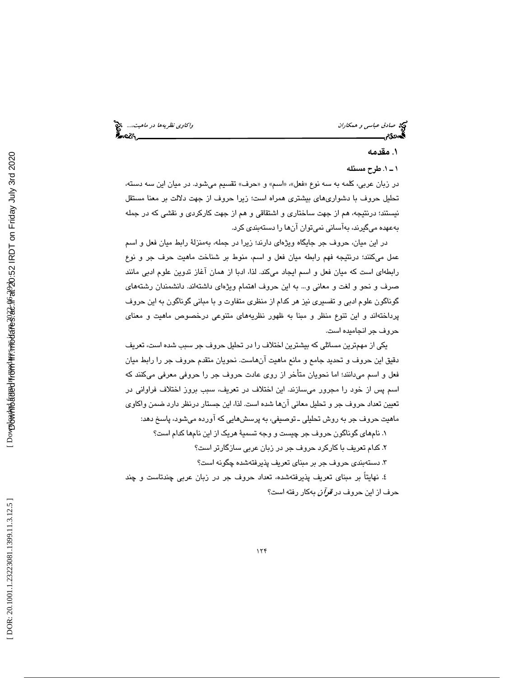صا*دق عباسی و همكاران* واكاوي *نظريهها در ماهيت....*، چ<mark>خ</mark><br>پسماندگان واكاوي نظريها در ماهيت باشد.<br>پسماندگان واكاوي نظري اكاوي اكاوي اكاوي باشد.

### . 1 مقدمه

### . 1ـ 1 طرح مسئله

در زبان عربي، كلمه به سه نوع «فعل»، «اسم» و «حرف» تقسيم ميشود. در ميان اين سه دسته، تحليل حروف با دشواريهاي بيشتري همراه است؛ زيرا حروف از جهت دلالت بر معنا مستقل نيستند ؛ درنتيجه، هم از جهت ساختاري و اشتقاقي و هم از جهت كاركردي و نقشي كه در جمله بهعهده ميگيرند، بهآساني نميتوان آنها را دستهبندي كرد.

 در اين ميان، حروف جر جايگاه ويژهاي دارند؛ زيرا در جمله، بهمنزلة رابط ميان فعل و اسم عمل ميكنند؛ درنتيجه فهم رابطه ميان فعل و اسم، منوط بر شناخت ماهيت حرف جر و نوع رابطهاي است كه ميان فعل و اسم ايجاد ميكند. لذا ، ادبا از همان آغاز تدوين علوم ادبي مانند صرف و نحو و لغت و معاني و... به اين حروف اهتمام ويژهاي داشتهاند. دانشمندان رشتههاي گوناگون علوم ادبي و تفسيري نيز هر كدام از منظري متفاوت و با مباني گوناگون به اين حروف پرداختهاند و اين تنوع منظر و مبنا به ظهور نظري ههاي متنوعي درخصوص ماهيت و معناي حروف جر انجاميده است.

يكي از مهمترين مسائلي كه بيشترين اختلاف را در تحليل حروف جر سبب شده است، تعريف دقيق اين حروف و تحديد جامع و مانع ماهيت آنهاست. نحويان متقدم حروف جر را رابط ميان فعل و اسم ميدانند؛ اما نحويان متأخر از روي عادت حروف جر را حروفي معرفي ميكنند كه اسم پس از خود را مجرور ميسازند. اين اختلاف در تعريف، سبب بروز اختلاف فراواني در تعيين تعداد حروف جر و تحليل معاني آنها شده است. لذا، اين جستار درنظر دارد ضمن واكاوي ماهیت حروف جر به روش تحلیلی ـ توصیفی، به پرسشهایی که اورده میشود، پاسخ دهد:

۰. نامهای گوناگون حروف جر چیست و وجه تسمیهٔ هریک از این نامها کدام است؟

. كدام تعريف با كاركرد حروف جر در زبان عربي سازگارتر است؟ 2

. 3 دستهبندي حروف جر بر مبناي تعريف پذيرفتهشده چگونه است ؟

. نهايتاً بر مبناي تعريف پذيرفتهشده، تعداد حروف جر در زبان عربي چندتاست و چند 4 حرف از اين حروف در قرآن به كار رفته است؟

Dovmbowthe bread from the stream back for a 20:52 IRDT on Friday July 3rd 2020 Downloaded from lrr.modares.ac.ir at 20:52 IRDT on Friday July 3rd 2020 [\[ DOR: 20.1001.1.23223081.1399.11.3.12.5 \] \[ Downloaded from lrr.modares.ac.ir on 2022-06-29 \]](https://lrr.modares.ac.ir/article-14-39774-fa.html)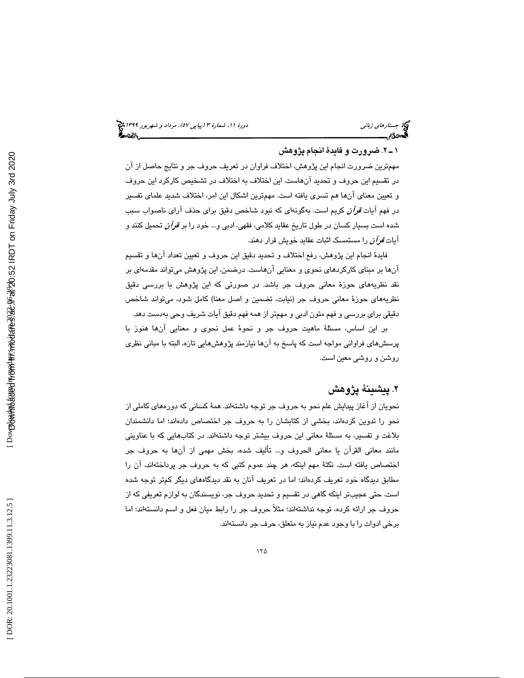## 2.ـ 1 ضرورت و فايد ة انجام پژوهش

مهمترين ضرورت انجام اين پژوهش، اختلاف فراوان در تعريف حروف جر و نتايج حاصل از آن در تقسيم اين حروف و تحديد آنهاست. اين اختلاف به اختلاف در تشخيص كاركرد اين حروف و تعيين معناي آنها هم تسري يافته است. مهمترين اشكال اين امر، اختلاف شديد علماي تفسير در فهم آيات قرآن كريم است. بهگونهاي كه نبود شاخص دقيق براي حذف آراي ناصواب سبب شده است بسيار كسان در طول تاريخ عقايد كلامي، فقهي، ادبي و... خود را بر قرآن تحميل كنند و آيات قرآن را مستمسك اثبات عقايد خويش قرار دهند.

فايدهٔ انجام اين پژوهش، رفع اختلاف و تحديد دقيق اين حروف و تعيين تعداد آنها و تقسيم آنها بر مبناي كاركردهاي نحوي و معنايي آنهاست. درضمن، اين پژوهش ميتواند مقدمهاي بر نقد نظريههاي حوزهٔ معاني حروف جر باشد. در صورتي كه اين پژوهش با بررسي دقيق نظريههاي حوزة معاني حروف جر (نيابت، تضمين و اصل معنا) كامل شود، ميتواند شاخص دقيقي براي بررسي و فهم متون ادبي و مهمتر از همه فهم دقيق آيات شريف وحي بهدست دهد.

بر اين اساس، مسئلهٔ ماهيت حروف جر و نحوهٔ عمل نحوي و معنايي آنها هنوز با پرسشهاي فراواني مواجه است كه پاسخ به آنها نيازمند پژوهشهايي تازه، البته با مباني نظري روشن و روشي معين است.

# ٢. پيشينهٔ پژوهش

نحويان از آغاز پيدايش علم نحو به حروف جر توجه داشتهاند. هم ة كساني كه دورههاي كاملي از نحو را تدوين كردهاند، بخشي از كتابشان را به حروف جر اختصاص دادهاند؛ اما دانشمندان بلاغت و تفسير، به مسئلة معاني اين حروف بيشتر توجه داشتهاند. در كتابهايي كه با عناويني مانند معاني القرآن يا معاني الحروف و... تأليف شده، بخش مهمي از آنها به حروف جر اختصاص يافته است. نكتهٔ مهم اينكه، هر چند عموم كتبي كه به حروف جر پرداختهاند، آن را مطابق ديدگاه خود تعريف كردهاند؛ اما در تعريف آنان به نقد ديدگاههاي ديگر كمتر توجه شده است. حتی عجیبتر اینکه گاهی در تقسیم و تحدید حروف جر، نویسندگان به لوازم تعریفی که از حروف جر ارائه كرده، توجه نداشتهاند؛ مثلاً حروف جر را رابط ميان فعل و اسم دانسته ؛اند اما برخي ادوات را با وجود عدم نياز به متعلق، حرف جر دانستهاند.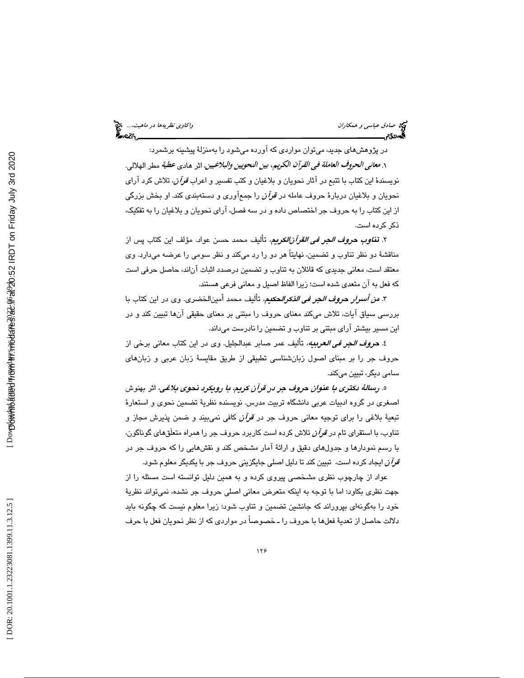در پژوهشهاي جديد، ميتوان مواردي كه آورده ميشود را بهمنزلة پيشينه بر شمرد: ١. م*عاني الحروف العاملة في القرآن الكريم، بين النحويين والبلاغيين*، اثر هادي *عطية* مطر الهلالي. نويسندهٔ اين كتاب با تتبع در آثار نحويان و بلاغيان و كتب تفسير و اعراب *قرآن،* تلاش كرد آراي نحويان و بلاغيان دربارهٔ حروف عامله در *قرآن ر*ا جمعآوري و دستهبندي كند. او بخش بزرگي از اين كتاب را به حروف جر اختصاص داده و در سه فصل، آرا ي نحويان و بلاغيان را به تفكيك، ذكر كرده است.

۲. **تن***اوب حروف الجر في القرآنالكريم***،** تأليف محمد حسن عواد. مؤلف اين كتاب پس از مناقشهٔ دو نظر تناوب و تضمين، نهايتاً هر دو را رد ميكند و نظر سومي را عرضه ميدارد. وي معتقد است، معاني جديدي كه قائلان به تناوب و تضمين درصدد اثبات آناند، حاصل حرفي است كه فعل به آن متعدي شده است؛ زيرا الفاظ اصيل و معاني فرعي هستند.

٣. *من أسرار* حر*وف الجر في الذكرال*حكيم، تأليف محمد أمين|لخضري. وي در اين كتاب با بررسي سياق آيات، تلاش ميكند معناي حروف را مبتني بر معناي حقيقي آنها تبيين كند و در اين مسير بيشتر آراي مبتني بر تناوب و تضمين را نادرست ميداند.

٤. **حر***وف ال***جر** *في العربيه***،** تأليف عمر صابر عبدالجليل. وي در اين كتاب معاني برخي از حروف جر را بر مبناي اصول زبانشناسي تطبيقي از طريق مقايسة زبان عربي و زبانهاي سامي ديگر، تبيين ميكند.

ه. ر*سالهٔ دكترى با عنوان حروف جر در قرآن كريم، با رويكرد نحوي بلاغي*، اثر بهنوش اصغري در گروه ادبيات عربي دانشگاه تربيت مدرس. نويسنده نظريهٔ تضمين نحوي و استعارهٔ تبعيهٔ بلاغي را براي توجيه معاني حروف جر در ق*وآن* كافي نميبيند و ضمن پذيرش مجاز و تناوب، با استقرای تام در *قرآن* تلاش كرده است كاربرد حروف جر را همراه متعلَقهای گوناگون، با رسم نمودارها و جدولهاي دقيق و ارائ ة آمار مشخص كند و نقشهايي را كه حروف جر در قرآن ايجاد كرده است، تبيين كند تا دليل اصلي جايگزيني حروف جر با يكديگر معلوم شود.

عواد از چارچوب نظری مشخصی پیروی كرده و به همین دلیل توانسته است مسئله را از جهت نظري بكاود؛ اما با توجه به اينكه متعرض معاني اصلي حروف جر نشده، نميتواند نظري ة خود را بهگونهاي بپروراند كه جانشين تضمين و تناوب شود؛ زيرا معلوم نيست كه چگونه بايد دلالت حاصل از تعديهٔ فعلها با حروف را ـ خصوصاً در مواردي كه از نظر نحويان فعل با حرف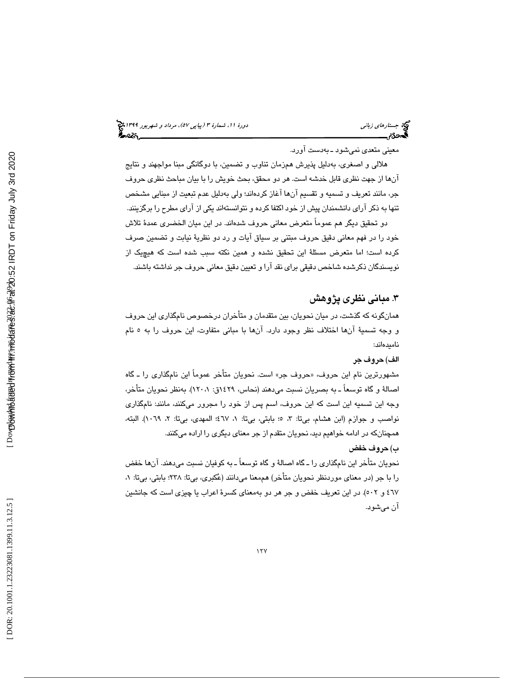# (پياپي 57)، مرداد و شهريور 1399 جستارهاي زباني دورة ،11 شمارة 3

معيني متعدي نميشود به ـ دست آورد.

هلالی و اصغری، بهدليل پذيرش همزمان تناوب و تضمين، با دوگانگی مبنا مواجهند و نتايج آنها از جهت نظري قابل خدشه است. هر ود محقق، بحث خويش را با بيان مباحث نظري حروف جر، مانند تعريف و تسميه و تقسيم آنها آغاز كردهاند؛ ولي بهدليل عدم تبعيت از مبنايي مشخص تنها به ذكر آراي دانشمندان پيش از خود اكتفا كرده و نتوانستهاند يكي از آراي مطرح را برگزينند.

دو تحقيق ديگر هم عموماً متعرض معاني حروف شدهاند. در اين ميان الخضري عمدة تلاش خود را در فهم معاني دقيق حروف مبتني بر سياق آيات و رد دو نظرية نيابت و تضمين صرف كرده است؛ اما متعرض مسئلة اين تحقيق نشده و همين نكته سبب شده است كه هيچيك از نويسندگان ذكرشده شاخص دقيقي براي نقد آرا و تعيين دقيق معاني حروف جر نداشته باشند.

# 3. مباني نظري پژوهش

همانگونه كه گذشت، در ميان نحويان، بين متقدمان و متأخران درخصوص نامگذاري اين حروف و وجه تسميهٔ آنها اختلاف نظر وجود دارد. آنها با مبانی متفاوت، اين حروف را به ٥ نام ناميدهاند:

## الف ) حروف جر

مشهورترين نام اين حروف، «حروف جر» است. نحويان متاخر عموماً اين نامگذاری را ـ گاه اصالهٔ و گاه توسعاً ـ به بصریان نسبت میدهند (نحاس، ۱۶۲۹ق: ۱۲۰،۱). بهنظر نحویان متاخر، وجه اين تسميه اين است كه اين حروف، اسم پس از خود را مجرور ميكنند ، مانند: نامگذاري نواصب و جوازم (ابن هشام، بيتا: ٣، ٥؛ بابتي، بيتا: ١، ٤٦٧؛ المهدي، بيتا: ٢، ١٠٦٩). البته، همچنانكه در ادامه خواهيم ديد، نحويان متقدم از جر معناي ديگري را اراده ميكنند.

# ) حروف خفض ب

نحويان متأخر اين نامگذاري را ـ گاه اصالة و گاه توسعاً ـ به كوفيان نسبت ميدهند. آن ها خفض را با جر (در معناي موردنظر نحويان متأخر) هممعنا ميدانند (عُكبري، بي¤: ٢٣٨؛ بابتي، بي¤: ١، ٤٦٧ و ٥٠٢). در اين تعريف خفض و جر هر دو بهمعناي كسرهٔ اعراب يا چيزي است كه جانشين آن ميشود .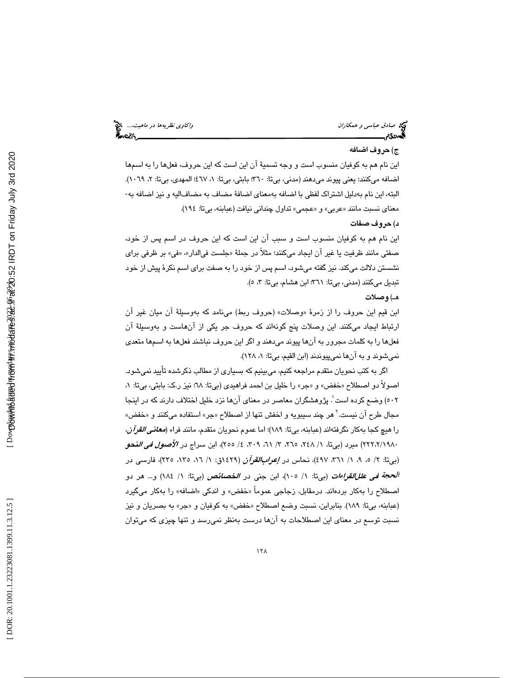صا*دق عباسی و همكاران* واكاوي *نظريهها در ماهيت....*، چ<mark>خ</mark><br>پسماندگان واكاوي نظريها در ماهيت باشد.<br>پسماندگان واكاوي اكاوي اكاوي اكاوي اكاوي اكاوي اكاوي اكاوي اكاوي اكاوي اكاوي اكاوي اكاوي اكاوي اكاوي اكاوي اكا

### )ج حروف اضافه

اين نام هم به كوفيان منسوب است و وجه تسميهٔ آن اين است كه اين حروف، فعلها را به اسمها اضافه ميكنند؛ يعني پيوند مي دهند (مدني، بيتا: ٣٦٠؛ بابتي، بيتا: ١، ٤٦٧؛ المهدي، بيتا: ٢، ١٠٦٩). البته، اين نام بهدليل اشتراك لفظي با اضافه بهمعناي اضافة مضاف به مضاف اليه و نيز اضافه به-معناي نسبت مانند «عربي» و «عجمي» تداول چنداني نيافت (عبابنه، بي تا: ١٩٤).

#### )د حروف صفات

اين نام هم به كوفيان منسوب است و سبب آن اين است كه اين حروف در اسم پس از خود، صفتي مانند ظرفيت يا غير آن ايجاد ميكنند؛ مثلاً در جملهٔ «جلست في|لدار»، «في» بر ظرفي براي نشستن دلالت ميكند. نيز گفته مي شود، اسم پس از خود را به صفت براي اسم نكرهٔ پيش از خود تبديل مي كنند (مدني، بي تا: ٣٦١؛ ابن هشام، بي تا: ٣، ٥).

### هـ) وصلات

ابن قيم اين حروف را از زمرهٔ «وصلات» (حروف ربط) ميiامد كه بهوسيلهٔ آن ميان غير آن ارتباط ايجاد ميكنند. اين وصلات پنج گونهاند كه حروف جر يكي از آنهاست و بهوسيلهٔ آن فعلها را به كلمات مجرور به آنها پيوند ميدهند و اگر اين حروف نباشند فعلها به اسمها متعدي نمي شوند و به آنها نمي پيوندند (ابن القيم، بيتا: ١، ١٢٨).

اگر به كتب نحويان متقدم مراجعه كنيم، ميبينيم كه بسياري از مطالب ذكر شده تأييد نميشود. اصولاً دو اصطلاح «خفض» و «جر» را خلیل بن احمد فراهیدی (بیتا: ٦٨؛ نیز ر.ک: بابتی، بیتا: ١، 502 ) وضع كرده است 1 . پژوهشگران معاصر در معناي آنها نزد خليل اختلاف دارند كه در اينجا مجال طرح آن نيست.<sup>۲</sup> هر چند سيبويه و اخفش تنها از اصطلاح «جر» استفاده ميكنند و «خفض» را هيچ كجا بهكار نگرفتهاند (عبابنه، بيتا: ١٨٩)؛ اما عموم نحويان متقدم، مانند فراء (*معاني القرآن،* ۲۲۲،۲/۱۹۸۰) مبرد (بیتا، ۱/ ۲٤۸، ۲۵۰، ۳، ۱/ ۲، ۲۰۹، ٤/ ۲۰۰)، ابن سراج در *الأصول فی ال*فح*و* (بیتا: ۲/ ۰، ۹، ۱/ ۳٦۱، ٤٩٧)، نحاس در *إعراب|لقوآن* (۱٤٢٩ق: ۱/ ۱٦، ۱۳٥، ۲۳٥). فارسـی در *الحجة في عللالقواءات* (بيتا: ١/ ١٠٥). ابن جني در *الخصائص (بيتا: ١/ ١٨٤) و... ه*ر دو اصطلاح را بهكار بردهاند. درمقابل، زجاجي عموماً «خفض» و اندكي «اضافه» را بهكار ميگيرد (عبابنه، بيتا: ١٨٩). بنابراين، نسبت وضع اصطلاح «خفض» به كوفيان و «جر» به بصريان و نيز نسبت توسع در معنای این اصطلاحات به آنها درست بهنظر نمیرسد و تنها چیزی که میتوان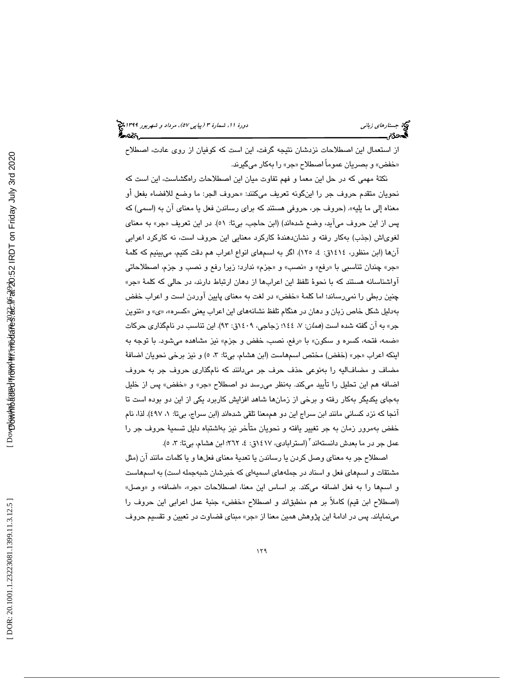از استعمال اين اصطلاحات نزدشان نتيجه گرفت، اين است كه كوفيان از روي عادت، اصطلاح «خفض» و بصريان عموماً اصطلاح «جر» را بهكار ميگيرند.

نكتهٔ مهمي كه در حل اين معما و فهم تفاوت ميان اين اصطلاحات راهگشاست، اين است كه نحويان متقدم حروف جر را اينگونه تعريف مىكنند: «حروف الجر: ما وضع للافضاء بفعل او معناه إلى ما يليه». (حروف جر، حروفي هستند كه براي رساندن فعل يا معناي آن به (اسمي) كه پس از اين حروف مي|يد، وضـع شدهاند) (ابن حاجب، بيتا: ٥١). در اين تعريف «جر» به معناى لغویاش (جذب) بهکار رفته و نشانِدهندهٔ کارکرد معنایی این حروف است، نه کارکرد اعرابی آنها (ابن منظور، ١٤١٤ق: ٤، ١٢٥). اگر به اسمهاي انواع اعراب هم دقت كنيم، ميبينيم كه كلمهٔ «جر» چندان تناسبي با «رفع» و «نصب» و «جزم» ندارد؛ زيرا رفع و نصب و جزم، اصطلاحاتي آواشناسانه هستند كه با نحوهٔ تلفظ اين اعرابها از دهان ارتباط دارند، در حالي كه كلمهٔ «جر» چنين ربطي را نمي رساند؛ اما كلمهٔ «خفض» در لغت به معناي پايين آوردن است و اعراب خفض بهدلیل شکل خاص زبان و دهان در هنگام تلفظ نشانههای این اعراب یعنی «کسره»، «ی» و «تنوین جر» به آن گفته شده است (*همان*: ۷، ١٤٤؛ زجاجی، ۱٤٠٩ق: ۹۳). این تناسب در نامگذاری حرکات «ضمه، فتحه، كسره و سكون» با «رفع، نصب، خفض و جزم» نيز مشاهده ميشود. با توجه به اينكه اعراب «جر» (خفض) مختص اسمهاست (ابن هشام، بيتا: ٣، ٥) و نيز برخي نحويان اضافهٔ مضاف و مضافاليه را بهنوعي حذف حرف جر ميدانند كه نامگذاري حروف جر به حروف اضافه هم اين تحليل را تاييد مىكند. بەنظر مىرسد دو اصطلاح «جر» و «خفض» پس از خليل بهجاي يكديگر بهكار رفته و برخي از زمانها شاهد افزايش كاربرد يكي از اين دو بوده است تا آنجا كه نزد كساني مانند ابن سراج اين دو هممعنا تلقي شدهاند (ابن سراج، بيتا: ١، ٤٩٧). لذا، نام خفض بهمرور زمان به جر تغيير يافته و نحويان متأخر نيز بهاشتباه دليل تسميهٔ حروف جر را عمل جر در ما بعدش دانستهاند ّ (استرابادی، ۱۶۱۷ق: ٤، ۲۲۲؛ ابن هشام، بیتا: ۳، ٥).

اصطلاح جر به معناي وصل كردن يا رساندن يا تعدي ة معناي فعلها و يا كلمات مانند آن (مثل مشتقات و اسمهاي فعل و اسناد در جملههاي اسميهاي كه خبرشان شبهجمله است) به اسمهاست و اسمها را به فعل اضافه مىكند. بر اساس اين معنا، اصطلاحات «جر»، «اضافه» و «وصل» (اصطلاح ابن قيم) كاملاً بر هم منطبقاند و اصطلاح «خفض» جنبهٔ عمل اعرابي اين حروف را مینمایاند. پس در ادامهٔ این پژوهش همین معنا از «جر» مبنای قضاوت در تعیین و تقسیم حروف<br>.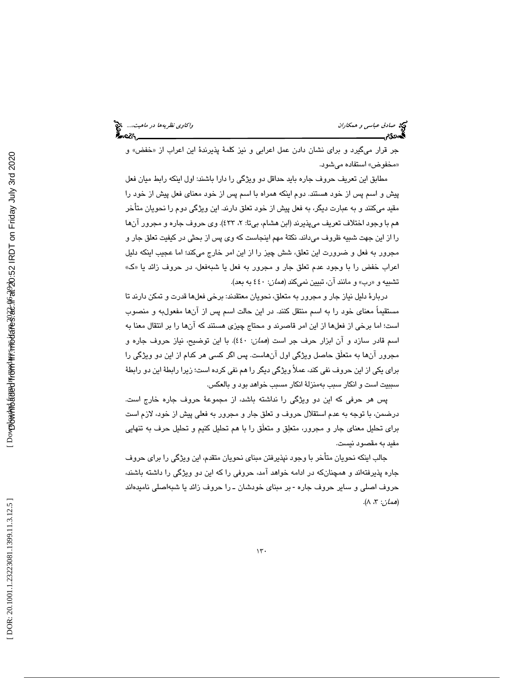جر قرار ميگيرد و براي نشان دادن عمل اعرابي و نيز كلمهٔ پذيرندهٔ اين اعراب از «خفض» و «مخفوض» استفاده میشود.

مطابق اين تعريف حروف جاره بايد حداقل دو ويژگي را دارا باشند: اول اينكه رابط ميان فعل پيش و اسم پس از خود هستند. دوم اينكه همراه با اسم پس از خود معناي فعل پيش از خود را مقيد ميكنند و به عبارت ديگر، به فعل پيش از خود تعلق دارند. اين ويژگي دوم را نحويان متأخر هم با وجود اختلاف تعريف ميپذيرند (ابن هشام، بيتا: ، 2 433). وي حروف جاره و مجرور آنها را از اين جهت شبيه ظروف ميداند. نكتة مهم اينجاست كه وي پس از بحثي در كيفيت تعلق جار و مجرور به فعل و ضرورت اين تعلق، شش چيز را از اين امر خارج ميكند؛ اما عجيب اينكه دليل « ك اعراب خفض را با وجود عدم تعلق جار و مجرور به فعل يا شبهفعل، در حروف زائد يا « تشبيه و «رب» و مانند ان، تبيين نميكند (*همان*: ٤٤٠ به بعد).

 دربارة دليل نياز جار و مجرور به متعلق، نحويان معتقدند: برخي فعلها قدرت و تمكن دارند تا مستقيماً معناي خود را به اسم منتقل كنند. در اين حالت اسم پس از آنها مفعولبه و منصوب است؛ اما برخي از فعلها از اين امر قاصرند و محتاج چيزي هستند كه آنها را بر انتقال معنا به اسم قادر سازد و آن ابزار حرف جر است (همان: 440). با اين توضيح، نياز حروف جاره و مجرور آنها به متعلَق حاصل ويژگي اول آنهاست. پس اگر كسي هر كدام از اين دو ويژگي را براي يكي از اين حروف نفي كند، عملاً ويژگي ديگر را هم نفي كرده است؛ زيرا رابطة اين دو رابطة سببيت است و انكار سبب بهمنزلة انكار مسبب خواهد بود و بالعكس.

پس هر حرفي كه اين دو ويژگي را نداشته باشد، از مجموعة حروف جاره خارج است. درضمن، با توجه به عدم استقلال حروف و تعلق جار و مجرور به فعلي پيش از خود، لازم است براي تحليل معناي جار و مجرور، متعلق و متعلَق را با هم تحليل كنيم و تحليل حرف به تنهايي مفيد به مقصود نيست.

جالب اينكه نحويان متأخر با وجود نپذيرفتن مبناي نحويان متقدم، اين ويژگي را براي حروف جاره پذيرفتهاند و همچنانكه در ادامه خواهد آمد، حروفي را كه اين دو ويژگي را داشته باشند، حروف اصلي و ساير حروف جاره - بر مبناي خودشان ـ را حروف زائد يا شبهاصلي ناميدهاند (همان: ۳، ۸).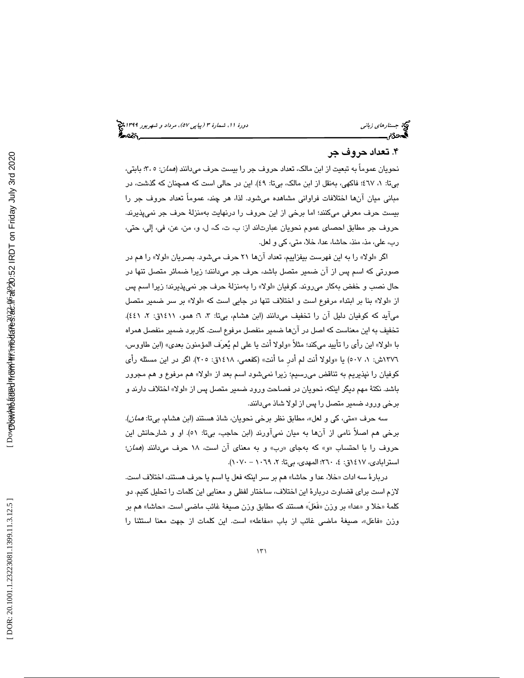## 4. تعداد حروف جر

نحويان عموماً به تبعيت از ابن مالك، تعداد حروف جر را بيست حرف مي دانند (*همان*: ٥ ،٣: بابتي، بيتا: ١، ٤٦٧؛ فاكهي، بهنقل از ابن مالك، بيتا: ٤٩). اين در حالي است كه همچنان كه گذشت، در مباني ميان آن ها اختلافات فراواني مشاهده ميشود. لذا ، هر چند، عموماً تعداد حروف جر را بيست حرف معرفي ميكنند ؛ اما برخي از اين حروف را درنهايت بهمنزلة حرف جر نميپذيرند. حروف جر مطابق احصاى عموم نحويان عبارتاند از: ب، ت، ك، ل، و، من، عن، في، إلى، حتى، رب، علي، مذ، منذ، حاشا، عدا، خلا، متي، كي و لعل.

اگر «لولا» را به اين فهرست بيفزاييم، تعداد انها ٢١ حرف ميشود. بصريان «لولا» را هم در صورتي كه اسم پس از آن ضمير متصل باشد، حرف جر ميد انند؛ زيرا ضمائر متصل تنها در حال نصب و خفض بهكار مىروند. كوفيان «لولا» را بهمنزلهٔ حرف جر نمىپذيرند؛ زيرا اسم پس از «لولا» بنا بر ابتداء مرفوع است و اختلاف تنها در جایی است كه «لولا» بر سر ضمیر متصل میاید که کوفیان دلیل آن را تخفیف میدانند (ابن هشام، بیتا: ۳، ۲؛ همو، ۱۵۱۱ق: ۲، ٤٤۱). تخفيف به اين معناست كه اصل در آنها ضمير منفصل مرفوع است. كاربرد ضمير منفصل همراه باً «لولاً» اين راي را تاييد ميكند؛ مثلاً «ولولاً انت يا علي لم يُعرف المؤمنون بعدي» (ابن طاووس، ١٣٧٦ش: ١، ٥٠٧) يا «ولولا انت لم ادر ما انت» (كفعمي، ١٤١٨ق: ٢٠٥). اگر در اين مسئله راي كوفيان را نپذيريم به تناقض مىرسىيم؛ زيرا نمىشود اسم بعد از «لولا» هم مرفوع و هم مجرور باشد. نكتهٔ مهم ديگر اينكه، نحويان در فصاحت ورود ضمير متصل پس از «لولا» اختلاف دارند و برخي ورود ضمير متصل را پس از لولا شاذ ميدانند.

سه حرف «متي، كي و لعل»، مطابق نظر برخي نحويان، شاذ هستند (ابن هشام، بيتا: *همان*). برخي هم اصلاً نامي از آنها به ميان نميآورند (ابن حاجب، بي تا: 51). او و شارحانش اين حروف را با احتساب «و» كه بهجاى «رب» و به معناى ان است، ۱۸ حرف مىدانند (*همان*؛ استرابادي، ١٤١٧ق: ٤، ٢٦٠؛ المهدي، بيتا: ٢، ١٠٦٩ - ١٠٧٠).

دربارهٔ سه ادات «خلا، عدا و حاشا» هم بر سر اینکه فعل یا اسم یا حرف هستند، اختلاف است. لازم است براي قضاوت دربار ة اين اختلاف، ساختار لفظي و معنايي اين كلمات را تحليل كنيم. دو كلمة «خلا و «عدا» بر وزن «فعَل» هستند كه مطابق وزن صيغةً غائب ماضـي است. «حاشـا» هم بر وزن «فاعَل»، صيغةً ماضىي غائب از باب «مفاعله» است. اين كلمات از جهت معنا استثنا را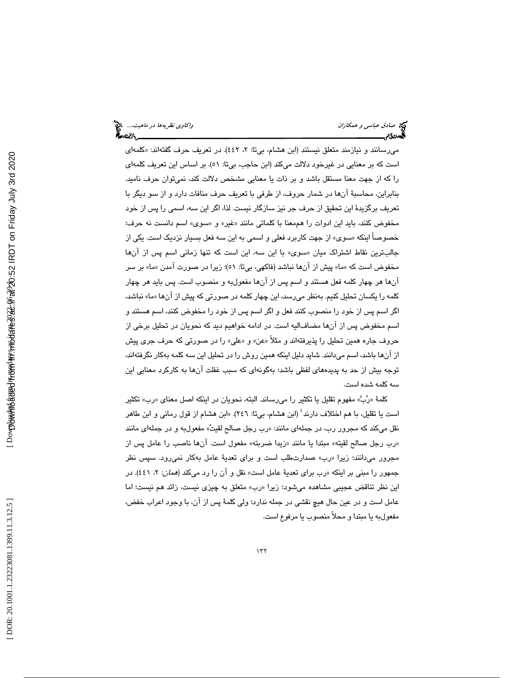مىرسانند و نيازمند متعلق نيستند (ابن هشام، بيتا: ۲، ٤٤٢). در تعريف حرف گفتهاند: «كلمها*ى* است كه بر معنايي در غيرخود دلالت مي كند (ابن حاجب، بيتا: )51. بر اساس اين تعريف كلمهاي را كه از جهت معنا مستقل باشد و بر ذات يا معنايي مشخص دلالت كند ، نميتوان حرف ناميد. بنابراين، محاسبة آنها در شمار حروف، از طرفي با تعريف حرف منافات دارد و از سو ديگر با تعريف برگزيدهٔ اين تحقيق از حرف جر نيز سازگار نيست. لذا، اگر اين سه، اسمي را پس از خود مخفوض كنند، بايد اين ادوات را هممعنا با كلماتي مانند «غير» و «سوى» اسم دانست نه حرف؛ خصوصاً اينكه « سوي» از جهت كاربرد فعلي و اسمي به اين سه فعل بسيار نزديك است. يكي از جالبترين نقاط اشتراک ميان «سوی» با اين سه، اين است که تنها زمانی اسم پس از انها مخفوض است كه «ما» پیش از آنها نباشد (فاكهی، بیتا: ٥١)؛ زیرا در صورت آمدن «ما» بر سر آنها هر چهار كلمه فعل هستند و اسم پس از آنها مفعولبه و منصوب است. پس بايد هر چهار كلمه را يكسان تحليل كنيم. بهنظر ميرسد، اين چهار كلمه در صورتي كه پيش از آن » ما«ها نباشد، اگر اسم پس از خود را منصوب كنند فعل و اگر اسم پس از خو د را مخفوض كنند ، اسم هستند و اسم مخفوض پس از آنها مضافاليه است. در ادامه خواهيم ديد كه نحويان در تحليل برخي از حروف جاره همين تحليل را پذيرفتهاند و مثلا «عن» و «علي» را در صورتي كه حرف جري پيش از آنها باشد، اسم ميدانند. شايد دليل اينكه همين روش را در تحليل اين سه كلمه بهكار نگرفتهاند، توجه بيش از حد به پديدههاي لفظي باشد؛ بهگونهاي كه سبب غفلت آنها به كاركرد معنايي اين سه كلمه شده است.

كلمهٔ «رُبٌ» مفهوم تقليل يا تكثير را مىرساند. البته، نحويان در اينكه اصل معنا*ى* «رب» تكثير است یا تقلیل، با هم اختلاف دارند<sup>؛</sup> (ابن هشام، بیتا: ٢٤٦). «ابن هشام از قول رمانی و ابن طاهر نقل میكند كه مجرور رب، در جملها*ی* مانند: «رب رجل صالح لقیتُ» مفعولبه و در جملها*ی* مانند «رب رجل صالح لقيته» مبتدا يا مانند «زيدا ضربته» مفعول است. انها ناصب را عامل پس از مجرور ميدانند؛ زيرا «رب» صدارتطلب است و براي تعديهٔ عامل بهكار نميرود. سپس نظر جمهور را مبنی بر اینکه «رب برای تعدیهٔ عامل است» نقل و ان را رد میکند (*همان*: ۲، ٤٤١). در اين نظر تناقض عجيبي مشاهده ميشود؛ زيرا «رب» متعلق به چيزي نيست، زائد هم نيست؛ اما عامل است و در عين حال هيچ نقشي در جمله ندارد؛ ولي كلمة پس از آن، با وجود اعراب خفض، مفعول به يا مبتدا و محلأ منصوب يا مرفوع است.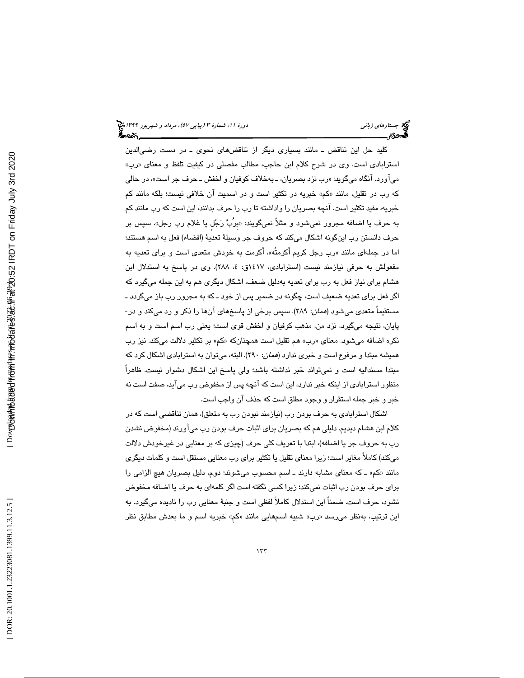كليد حل اين تناقض ـ مانند بسياري ديگر از تناقضهاي نحوي ـ در دست رضيالدين استرابادی است. وی در شرح کلام ابن حاجب، مطالب مفصلی در کیفیت تلفظ و معنای «رب» میاورد. انگاه میگوید: «رب نزد بصریان، ـ بهخلاف کوفیان و اخفش ـ حرف جر است»، در حال*ی* كه رب در تقليل، مانند «كم» خبريه در تكثير است و در اسميت ان خلافي نيست؛ بلكه مانند كم خبريه، مفيد تكثير است. آنچه بصريان را واداشته تا رب را حرف بدانند، اين است كه رب مانند كم بِه حرف يا اضـافه مجرور نميشود و مثلاً نميگويند: «بربٌ رَجُل يا غلام رب رجل». سَپِس بر حرف دانستن رب اينگونه اشكال ميكند كه حروف جر وسيلة تعدية (افضاء) فعل به اسم هستند؛ اما در جملهای مانند «رب رجل کريم اکرمته»، اکرمت به خودش متعدی است و برای تعديه به مفعولش به حرفي نيازمند نيست (استرابادي، ١٤١٧ق: ٤، ٢٨٨). وي در پاسخ به استدلال ابن هشام براي نياز فعل به رب براي تعديه بهدليل ضعف، اشكال ديگري هم به اين جمله ميگيرد كه اگر فعل براي تعديه ضعيف است، چگونه در ضمير پس از خود ـ كه به مجرور رب باز ميگردد ـ مستقيماً متعدي ميشود (همان: 289). سپس برخي از پاسخهاي آنها را ذكر و رد ميكند و در- پايان، نتيجه ميگيرد، نزد من، مذهب كوفيان و اخفش قوي است؛ يعني رب اسم است و به اسم نكره اضـافه ميشـود. معناى «رب» هم تقليل است همچنانكه «كم» بر تكثير دلالت ميكند. نيز رب هميشه مبتدا و مرفوع است و خبري ندارد (همان: 290). البته، ميتوان به استرابادي اشكال كرد كه مبتدا مسنداليه است و نميتواند خبر نداشته باشد؛ ولي پاسخ اين اشكال دشوار نيست. ظاهراً منظور استرابادي از اينكه خبر ندارد، اين است كه آنچه پس از مخفوض رب ميآيد، صفت است نه خبر و خبر جمله استقرار و وجود مطلق است كه حذف آن واجب است.

اشكال استرابادي به حرف بودن رب (نيازمند نبودن رب به متعلق)، همان تناقضي است كه در كلام ابن هشام ديديم. دليلي هم كه بصريان براي اثبات حرف بودن رب ميآورند (مخفوض نشدن رب به حروف جر يا اضافه)، ابتدا با تعريف كلي حرف (چيزي كه بر معنايي در غيرخودش دلالت ميكند) كاملاً مغاير است؛ زيرا معناي تقليل يا تكثير براي رب معنايي مستقل است و كلمات ديگري مانند «كم» ـ كه معناى مشابه دارند ـ اسم محسوب مىشوند؛ دوم، دليل بصريان هيچ الزامى را براي حرف بودن رب اثبات نميكند؛ زيرا كسي نگفته است اگر كلمهاي به حرف يا اضافه مخفوض نشود، حرف است. ضمناً اين استدلال كاملاً لفظي است و جنبة معنايي رب را ناديده ميگيرد. به اين ترتيب، بهنظر مىرسد «رب» شبيه اسمهايي مانند «كم» خبريه اسم و ما بعدش مطابق نظر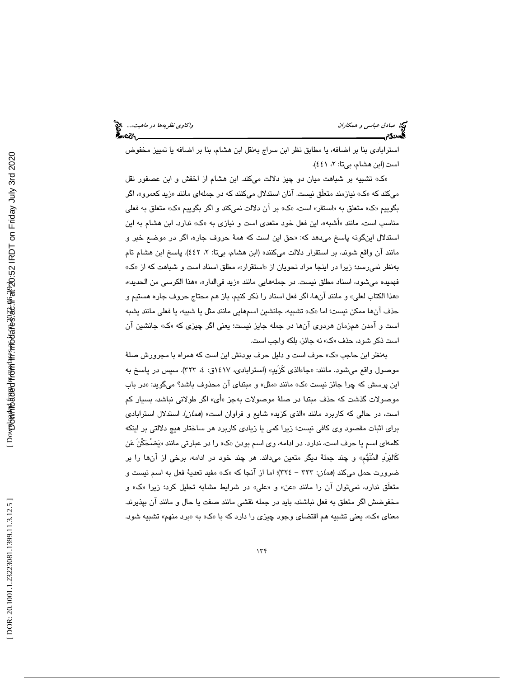استرابادي بنا بر اضافه، يا مطابق نظر ابن سراج بهنقل ابن هشام، بنا بر اضافه يا تمييز مخفوض است(ابن هشام، بيتا: ٢، ٤٤١).

» تشبيه بر شباهت ميان دو چيز دلالت ميكند. ابن هشام از اخفش و ابن عصفور نقل ك » میكند كه «ک» نیازمند متعلق نیست. انان استدلال میكنند كه در جملهای مانند «زید كعمرو»، اگر بگوييم «ک» متعلق به «استقر» است، «ک» بر ان دلالت نميکند و اگر بگوييم «ک» متعلق به فعلی مناسب است، مانند «اشبه»، این فعل خود متعدی است و نیازی به «ک» ندارد. ابن هشام به این استدلال اینگونه پاسخ میدهد که: «حق این است که همهٔ حروف جاره، اگر در موضـع خبر و مانند آن واقع شوند، بر استقرار دلالت ميكنند» (ابن هشام، بيتا: ، 2 442). پاسخ ابن هشام تام بهنظر نميرسد؛ زيرا در اينجا مراد نحويان از «استقرار»، مطلق اسناد است و شباهت كه از «ک» فهميده ميشود، اسناد مطلق نيست. در جملههايي مانند «زيد فيالدار»، «هذا الكرس*ي* من الحديد»، هذا الكتاب لعلي» و مانند آنها، اگر فعل اسناد را ذكر كنيم، باز هم محتاج حروف جاره هستيم و » حذف انها ممكن نيست؛ اما «ک» تشبيه، جانشين اسمهايي مانند مثل يا شبيه، يا فعلي مانند يشبه است و امدن همزمان هردوی انها در جمله جایز نیست؛ یعنی اگر چیزی که «ک» جانشین ان است ذكر شود، حذف «ک» نه جائز، بلكه واجب است.

بهنظر ابن حاجب «ک» حرف است و دلیل حرف بودنش این است که همراه با مجرورش صلهٔ موصول واقع ميشود. مانند: «جاءالذي كزيدٍ» (استرابادي، ١٤١٧ق: ٤، ٣٢٣). سپس در پاسخ به این پرسش که چرا جائز نیست «ک» مانند «مثل» و مبتدای ان محذوف باشد؟ میگوید: «در باب موصولات گذشت كه حذف مبتدا در صلهٔ موصولات بهجز «اى» اگر طولانی نباشد، بسیار كم است، در حالي كه كاربرد مانند «الذي كزيد» شايع و فراوان است» (*همان)*. استدلال استرابادي براي اثبات مقصود وي كافي نيست؛ زيرا كمي يا زيادي كاربرد هر ساختار هيچ دلالتي بر اينكه كلمهاي اسم يا حرف است، ندارد. در ادامه، وي اسم بودن «ک» را در عبارتي مانند «يَضحَكن عَن كَالبرَد المنَهمِ» و چند جملة ديگر متعين مي داند. هر چند خود در ادامه، برخي از آنها را بر ضرورت حمل میكند (*همان*: ٣٢٣ – ٣٢٤)؛ اما از انجا كه «ك» مفيد تعديهٔ فعل به اسم نيست و متعلق ندارد، نمیتوان ان را مانند «عن» و «علی» در شرایط مشابه تحلیل کرد؛ زیرا «ک» و مخفوضش اگر متعلق به فعل نباشند، بايد در جمله نقشي مانند صفت يا حال و مانند آن بپذيرند. معنای «ک»، یعنی تشبیه هم اقتضای وجود چیزی را دارد که با «ک» به «برد منهم» تشبیه شود.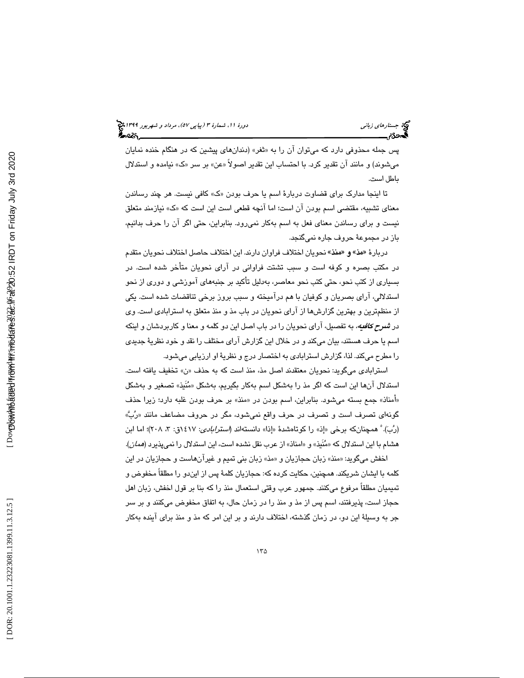پس جمله محذوفی دارد كه میتوان آن را به «ثغر» (دندانهای پیشین كه در هنگام خنده نمایان میشوند) و مانند ان تقدیر کرد. با احتساب این تقدیر اصولاً «عن» بر سر «ک» نیامده و استدلال باطل است.

تا اینجا مدارک برای قضاوت دربارهٔ اسم یا حرف بودن «ک» کافی نیست. هر چند رساندن معنای تشبیه، مقتضی اسم بودن ان است؛ اما انچه قطعی است این است که «ک» نیازمند متعلق نيست و براي رساندن معناي فعل به اسم بهكار نمي رود. بنابراين، حتى اگر آن را حرف بدانيم، باز در مجموعة حروف جاره نميگنجد.

دربارهٔ «مذ» و «منذ» نحويان اختلاف فراوان دارند. اين اختلاف حاصل اختلاف نحويان متقدم در مكتب بصره و كوفه است و سبب تشتت فراواني در آراي نحويان متأخر شده است. در بسياري از كتب نحو، حتي كتب نحو معاصر، بهدليل تأكيد بر جنبههاي آموزشي و دوري از نحو استدلالي، آراي بصريان و كوفيان با هم درآميخته و سبب بروز برخي تناقضات شده است. يكي از منظمترين و بهترين گزارشها از آراي نحويان در باب مذ و منذ متعلق به استرابادي است. وي در *شمرح كافيه،* به تفصيل، آراي نحويان را در باب اصل اين دو كلمه و معنا و كاربردشان و اينكه اسم يا حرف هستند، بيان ميكند و در خلال اين گزارش آراي مختلف را نقد و خود نظرية جديدي را مطرح ميكند. لذا، گزارش استرابادي به اختصار درج و نظرية او ارزيابي ميشود.

استرابادي ميگويد: نحويان معتقدند اصل مذ، منذ است كه به حذف «ن» تخفيف يافته است. استدلال انها اين است كه اگر مذ را بهشكل اسم بهكار بگيريم، بهشكل «مُنيذ» تصغير و بهشكل «امناذ» جمع بسته میشود. بنابراین، اسم بودن در «منذ» بر حرف بودن غلبه دارد؛ زیرا حذف گونهای تصرف است و تصرف در حرف واقع نمیشود، مگر در حروف مضاعف مانند «رُبّ» (رُبَ). ْ همچنانكه برخى «إذ» را كوتاهشدهٔ «إذا» دانستهاند (*استرابادى*: ١٤١٧ق: ٣، ٢٠٨)؛ اما ابن هشام با اين استدلال كه «مُنَيذ» و «امناذ» از عرب نقل نشده است، اين استدلال را نميپذيرد (*همان).* 

اخفش ميگويد: «منذ» زبان حجازيان و «مذ» زبان بني تميم و غيرانهاست و حجازيان در اين كلمه با ايشان شريكند. همچنين، حكايت كرده كه: حجازيان كلمة پس از ايندو را مطلقاً مخفوض و تميميان مطلقاً مرفوع ميكنند. جمهور عرب وقتي استعمال منذ را كه بنا بر قول اخفش، زبان اهل حجاز است، پذيرفتند، اسم پس از مذ و منذ را در زمان حال، به اتفاق مخفوض ميكنند و بر سر جر به وسیلهٔ این دو، در زمان گذشته، اختلاف دارند و بر این امر که مذ و منذ برای آینده بهکار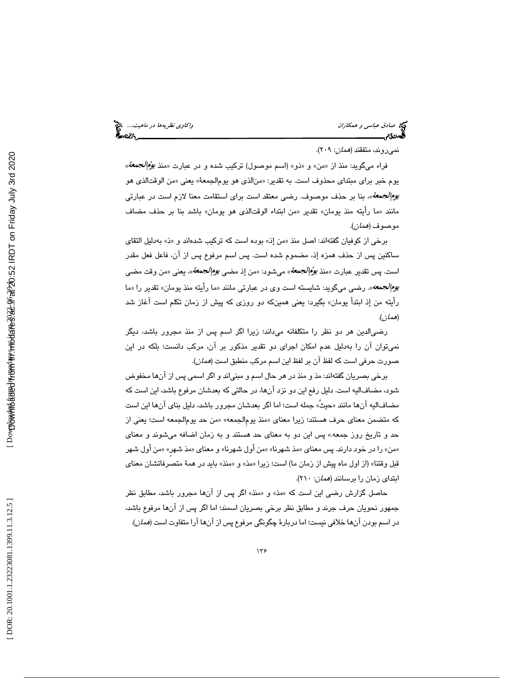صا*دق عباسی و همكاران* واكاوي *نظريهها در ماهيت...*.، چ<mark>خ</mark><br>پيمان المال المال المال المال المال المال المال المال المال المال المال المال المال المال المال المال المال ال<br>پيمان المال المال المال المال المال المال المال الم

### نميروند، متفقند (همان: 209 ).

فراء میگوید: منذ از «من» و «ذو» (اسم موصول) ترکیب شده و در عبارت «منذ *یؤ*ُ ي*ودُمالجمعة*» يوم خبر براي مبتداي محذوف است. به تقدير: «منالذي هو يوم|لجمعةً» يعني «من الوقتالذي هو *يوم|لجمعة*»، بنا بر حذف موصوف. رضـي معتقد است براي استقامت معنا لازم است در عبارتـي مانند «ما رايته منذ يومان» تقدير «من ابتداء الوقتالذي هو يومان» باشد بنا بر حذف مضاف موصوف (همان ).

برخی از کوفیان گفتهاند: اصل منذ «من إذ» بوده است که ترکیب شدهاند و «ذ» بهدلیل التقای ساكنين پس از حذف همزه إذ، مضموم شده است. پس اسم مرفوع پس از آن، فاعل فعل مقدر است. پس تقدير عبارت «منذ *يؤُم الجمعة*» ميشود: «من إذ مض*ـي يوم الجمعة*»، يعني «من وقت مضـي *یوم|لجمعه*». رضمی میگوید: شایسته است وی در عبارتی مانند «ما رأیته منذ یومان» تقدیر را «ما رأيته من إذ ابتدأ يومان» بگيرد؛ يعني همينكه دو روزي كه پيش از زمان تكلم است آغاز شد (همان ).

رضيالدين هر دو نظر را متكلفانه ميداند؛ زيرا اگر اسم پس از منذ مجرور باشد، ديگر نميتوان آن را بهدليل عدم امكان اجراي دو تقدير مذكور بر آن، مركب دانست؛ بلكه در اين صورت حرفي است كه لفظ آن بر لفظ اين اسم مركب منطبق است (همان ).

برخي بصريان گفتهاند: مذ و منذ در هر حال اسم و مبنياند و اگر اسمي پس از آنها مخفوض شود، مضافاليه است. دليل رفع اين دو نزد آنها، در حالتي كه بعدشان مرفوع باشد، اين است كه مضافاليه انها مانند «حيث» جمله است؛ اما اگر بعدشان مجرور باشد، دليل بناي انها اين است كه متضمن معناى حرف هستند؛ زيرا معناى «منذ يوم|لجمعه» «من حد يوم|لجمعه است؛ يعني از حد و تاريخ روز جمعه.» پس اين دو به معناي حد هستند و به زمان اضافه ميشوند و معناي «من» را در خود دارند. پس معناي «مذ شهرنا» «من اول شهرنا» و معناي «مذ شهر» «من اول شهر قبل وقتنا» (از اول ماه پيش از زمان ما) است؛ زيرا «مذ» و «منذ» بايد در همهٔ متصرفاتشان معناي ابتدای زمان را برسانند (*همان*: ۲۱۰).

حاصل گزارش رضی این است كه «مذ» و «منذ» اگر پس از آنها مجرور باشد، مطابق نظر جمهور نحويان حرف جرند و مطابق نظر برخي بصريان اسمند؛ اما اگر پس از آنها مرفوع باشد، در اسم بودن آنها خلافي نيست؛ اما دربارة چگونگي مرفوع پس از آنها آرا متفاوت است (همان ).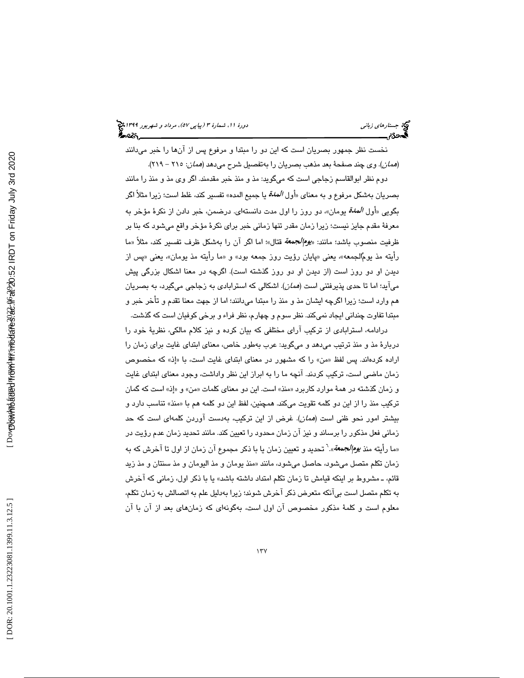نخست نظر جمهور بصريان است كه اين دو را مبتدا و مرفوع پس از آنها را خبر ميدانند (همان). وي چند صفحة بعد مذهب بصريان را بهتفصيل شرح ميدهد (همان: 215 - 219 ).

دوم نظر ابوالقاسم زجاجي است كه ميگويد: مذ و منذ خبر مقدمند. اگر وي مذ و منذ را مانند بصريان بهشكل مرفوع و به معناى «أول *المدة* يا جميع المده» تفسير كند، غلط است؛ زيرا مثلاً اگر بگويي «أول *الملة* يومان»، دو روز را اول مدت دانستهاي. درضمن، خبر دادن از نكرهٔ مؤخر به معرفة مقدم جايز نيست؛ زيرا زمان مقدر تنها زماني خبر براي نكرة مؤخر واقع ميشود كه بنا بر ظرفيت منصوب باشد؛ مانند: «*يوم|لجمعة* قتال»؛ اما اگر آن را بهشكل ظرف تفسير كند، مثلاً «ما رايته مذ يومُالجمعه»، يعني «پايان رؤيت روز جمعه بود» و «ما رايته مذ يومان»، يعني «پس از ديدن او دو روز است (از ديدن او دو روز گذشته است). اگرچه در معنا اشكال بزرگي پيش ميآيد؛ اما تا حدي پذيرفتني است (*همان*). اشكالي كه استرابادي به زجاجي ميگيرد، به بصريان هم وارد است؛ زيرا اگرچه ايشان مذ و منذ را مبتدا ميدانند؛ اما از جهت معنا تقدم و تأخر خبر و مبتدا تفاوت چنداني ايجاد نميكند. نظر سوم و چهارم، نظر فراء و برخي كوفيان است كه گذشت.

درادامه، استرابادي از تركيب آراي مختلفي كه بيان كرده و نيز كلام مالكي، نظرية خود را دربارة مذ و منذ ترتيب ميدهد و ميگويد: عرب بهطور خاص، معناي ابتداي غايت براي زمان را اراده كردهاند. پس لفظ «من» را كه مشهور در معناى ابتداى غايت است، با «إذ» كه مخصوص زمان ماضي است، تركيب كردند. آنچه ما را به ابراز اين نظر واداشت، وجود معناي ابتداي غايت و زمان گذشته در همهٔ موارد كاربرد «منذ» است. اين دو معناي كلمات «من» و «إذ» است كه گمان تركيب منذ را از اين دو كلمه تقويت مىكند. همچنين، لفظ اين دو كلمه هم با «منذ» تناسب دارد و بيشتر امور نحو ظني است (همان). غرض از اين تركيب، بهدست آوردن كلمهاي است كه حد زماني فعل مذكور را برساند و نيز آن زمان محدود را تعيين كند. مانند تحديد زمان عدم رؤيت در «ما رأيته منذ *يوم|لجمعة*».<sup>٦</sup> تحديد و تعيين زمان يا با ذكر مجموع آن زمان از اول تا آخرش كه به زمان تكلم متصل مىشود، حاصل مىشود، مانند «منذ يومان و مذ اليومان و مذ سنتان و مذ زيد قائم، ـ مشروط بر اينكه قيامش تا زمان تكلم امتداد داشته باشد» يا با ذكر اول، زماني كه آخرش به تكلم متصل است بيآنكه متعرض ذكر آخرش شوند؛ زيرا بهدليل علم به اتصالش به زمان تكلم، معلوم است و كلمهٔ مذكور مخصوص آن اول است، بهگونهای كه زمانهای بعد از آن با آن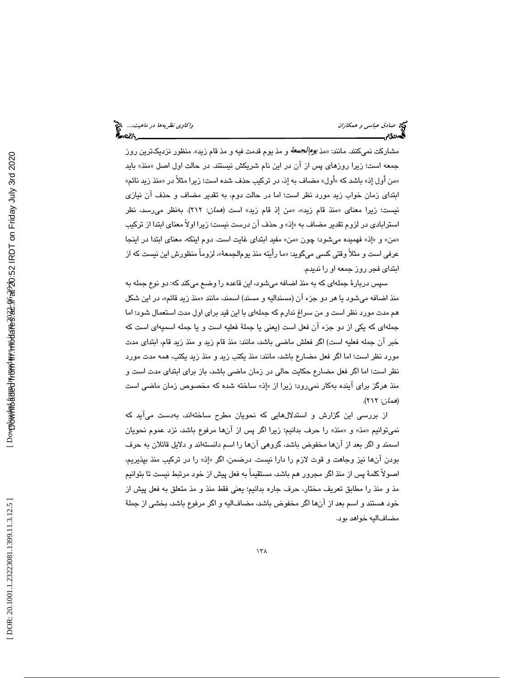مشارکت نمیکنند. مانند: «مذ *يوم|لجمعة* و مذ يوم قدمت فيه و مذ قام زيد». منظور نزديکترين روز جمعه است؛ زيرا روزهاى پس از ان در اين نام شريكش نيستند. در حالت اول اصل «منذ» بايد «من اول إذ» باشد كه «اول» مضاف به إذ، در تركيب حذف شده است؛ زيرا مثلاً در «منذ زيد نائم» ابتداي زمان خواب زيد مورد نظر است؛ اما در حالت دوم، به تقدير مضاف و حذف آن نيازي نيست؛ زيرا معناى «منذ قام زيد»، «من إذ قام زيد» است (*همان*: ٢١٢). بەنظر مىرسد، نظر استرابادي در لزوم تقدير مضاف به «إذ» و حذف آن درست نيست؛ زيرا اولاً معناي ابتدا از تركيب «من» و «إذ» فهميده ميشود؛ چون «من» مفيد ابتداى غايت است. دوم اينكه، معناى ابتدا در اينجا عرفي است و مثلاً وقتي كسي ميگويد: «ما رايته منذ يوم|لجمعهٔ»، لزوماً منظورش اين نيست كه از ابتداي فجر روز جمعه او را نديدم.

سپس دربارة جملهاي كه به منذ اضافه ميشود، اين قاعده را وضع ميكند كه: دو نوع جمله به منذ اضـافه میشـود یا هر دو جزء ان (مسندالیه و مسند) اسمند، مانند «منذ زید قائم»، در این شکل هم مدت مورد نظر است و من سراغ ندارم كه جملهاي با اين قيد براي اول مدت استعمال شود؛ اما جملهاي كه يكي از دو جزء آن فعل است (يعني يا جملة فعليه است و يا جمله اسميهاي است كه خبر آن جمله فعليه است) اگر فعلش ماضي باشد، مانند: منذ قام زيد و منذ زيد قام، ابتداي مدت مورد نظر است؛ اما اگر فعل مضارع باشد، مانند: منذ يكتب زيد و منذ زيد يكتب، همه مدت مورد نظر است؛ اما اگر فعل مضارع حكايت حالي در زمان ماضي باشد، باز براي ابتداي مدت است و منذ هرگز براي آينده بهكار نمي رود؛ زيرا از «إذ» ساخته شده كه مخصوص زمان ماضي است (همان: 212 ).

از بررسي اين گزارش و استدلالهايي كه نحويان مطرح ساختهاند، بهدست ميآيد كه نميتوانيم «مذ» و «منذ» را حرف بدانيم؛ زيرا اگر پس از آنها مرفوع باشد، نزد عموم نحويان اسمند و اگر بعد از آنها مخفوض باشد، گروهي آنها را اسم دانستهاند و دلايل قائلان به حرف بودن آنها نيز وجاهت و قوت لازم را دارا نيست. درضمن، اگر إذ« » را در تركيب منذ بپذيريم، اصولاً كلمة پس از منذ اگر مجرور هم باشد، مستقيماً به فعل پيش از خود مرتبط نيست تا بتوانيم مذ و منذ را مطابق تعريف مختار، حرف جاره بدانيم؛ يعني فقط منذ و مذ متعلق به فعل پيش از خود هستند و اسم بعد از آنها اگر مخفوض باشد، مضافاليه و اگر مرفوع باشد، بخشي از جملة مضافاليه خواهد بود.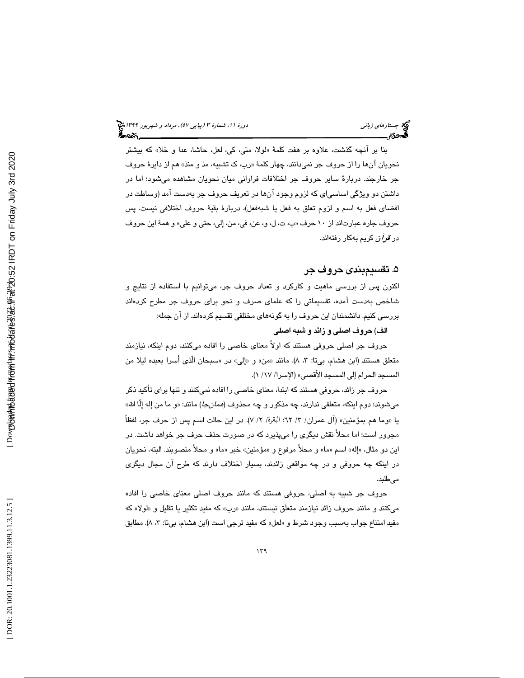بنا بر انچه گذشت، علاوه بر هفت كلمهٔ «لولا، متى، كى، لعل، حاشا، عدا و خلا» كه بيشتر نحویان انها را از حروف جر نمیدانند، چهار کلمهٔ «رب، ک تشبیه، مذ و منذ» هم از دایرهٔ حروف جر خارجند. دربارة ساير حروف جر اختلافات فراواني ميان نحويان مشاهده ميشود؛ اما در داشتن دو ويژگي اساسياي كه لزوم وجود آنها در تعريف حروف جر بهدست آمد (وساطت در افضاي فعل به اسم و لزوم تعلق به فعل يا شبهفعل)، دربارة بقية حروف اختلافي نيست. پس حروف جاره عبارتاند از ١٠ حرف «ب، ت، ل، و، عن، في، من، إلي، حتى و علي» و همهٔ اين حروف در *قرآن* كريم بهكار رفتهاند.

## 5. تقسيمبندي حروف جر

اكنون پس از بررسي ماهيت و كاركرد و تعداد حروف جر، ميتوانيم با استفاده از نتايج و شاخص بهدست آمده، تقسيماتي را كه علماي صرف و نحو براي حروف جر مطرح كردهاند بررسي كنيم. دانشمندان اين حروف را به گونههاي مختلفي تقسيم كردهاند. از آن جمله:

الف ) حروف اصلي و زائد و شبه اصلي

حروف جر اصلي حروفي هستند كه اولاً معناي خاصي را افاده ميكنند، دوم اينكه، نيازمند متعلق هستند (ابن هشام، بيتا: ٣، ٨). مانند «من» و «إلي» در «سبحان الذي اسرا بعبده ليلا من المسجد الحرام إلى المسجد الأقصى» (الإسرا/ ١٧/ ١).

حروف جر زائد، حروفي هستند كه ابتدا، معناي خاصي را افاده نميكنند و تنها براي تأكيد ذكر ميشوند؛ دوم اينكه، متعلقي ندارند، چه مذكور و چه محذوف (*همانجا*) مانند: «و ما من إله إلّا الله» يا «وما هم بمؤمنين» (آل عمران/ ٣/ ٦٢؛ البقرة/ ٢/ ٧). در اين حالت اسم پس از حرف جر، لفظاً مجرور است ؛ اما محلاً نقش ديگري را ميپذيرد كه در صورت حذف حرف جر خواهد داشت. در اين دو مثال، «إله» اسم «ما» و محلاً مرفوع و «مؤمنين» خبر «ما» و محلاً منصوبند. البته، نحويان در اينكه چه حروفي و در چه مواقعي زائدند، بسيار اختلاف دارند كه طرح آن مجال ديگري مے طلبد.

حروف جر شبيه به اصلي، حروفي هستند كه مانند حروف اصلي معناي خاصي را افاده میكنند و مانند حروف زائد نیازمند متعلق نیستند، مانند «رب» كه مفید تكثیر یا تقلیل و «لولا» كه مفيد امتناع جواب بهسبب وجود شرط و «لعل» كه مفيد ترجى است (ابن هشام، بيتا: ٣، ٨). مطابق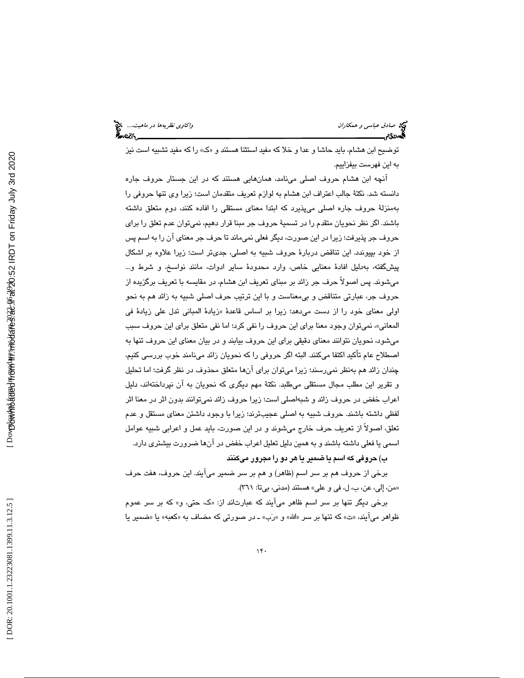توضيح ابن هشام، بايد حاشا و عدا و خلا كه مفيد استثنا هستند و «ک» را كه مفيد تشبيه است نيز به اين فهرست بيفزاييم.

آنچه ابن هشام حروف اصلي مينامد، همانهايي هستند كه در اين جستار حروف جاره دانسته شد. نكتة جالب اعتراف ابن هشام به لوازم تعريف متقدمان است؛ زيرا وي تنها حروفي را بهمنزلة حروف جاره اصلي ميپذيرد كه ابتدا معناي مستقلي را افاده كنند، دوم متعلق داشته باشند. اگر نظر نحويان متقدم را در تسميهٔ حروف جر مبنا قرار دهيم، نميتوان عدم تعلق را براي حروف جر پذيرفت؛ زيرا در اين صورت، ديگر فعلي نميماند تا حرف جر معناي آن را به اسم پس از خود بپيوندد. اين تناقض دربار ة حروف شبيه به اصلي، جديتر است؛ زيرا علاوه بر اشكال پيشگفته، بهدليل افادهٔ معنايي خاص، وارد محدودهٔ ساير ادوات، مانند نواسخ، و شرط و… ميشوند. پس اصولاً حرف جر زائد بر مبناي تعريف ابن هشام، در مقايسه با تعريف برگزيده از حروف جر، عبارتي متناقض و بيمعناست و با اين ترتيب حرف اصلي شبيه به زائد هم به نحو اولی معنای خود را از دست میدهد؛ زیرا بر اساس قاعدهٔ «زیادهٔ المبانی تدل علی زیادهٔ فی ، نميتوان وجود معنا براي اين حروف را نفي كرد؛ اما نفي متعلق براي اين حروف سبب المعاني» ميشود، نحويان نتوانند معناي دقيقي براي اين حروف بيابند و در بيان معناي اين حروف تنها به اصطلاح عام تأكيد اكتفا ميكنند. البته اگر حروفي را كه نحويان زائد مينامند خوب بررسي كنيم، چندان زائد هم بهنظر نميرسند؛ زيرا ميتوان براي آنها متعلق محذوف در نظر گرفت؛ اما تحليل و تقرير اين مطلب مجال مستقلي ميطلبد. نكتة مهم ديگري كه نحويان به آن نپرداختهاند، دليل اعراب خفض در حروف زائد و شبهاصلي است؛ زيرا حروف زائد نميتوانند بدون اثر در معنا اثر لفظي داشته باشند. حروف شبيه به اصلي عجيبترند؛ زيرا با وجود داشتن معناي مستقل و عدم تعلق، اصولاً از تعريف حرف خارج ميشوند و در اين صورت، بايد عمل و اعرابي شبيه عوامل اسمي يا فعلي داشته باشند و به همين دليل تعليل اعراب خفض در آنها ضرورت بيشتري دارد.

)ب حروفي كه اسم يا ضمير يا هر دو را مجرور ميكنند

برخي از حروف هم بر سر اسم (ظاهر) و هم بر سر ضمير ميآيند. اين حروف، هفت حرف «من، إلى، عن، ب، ل، في و علي» هستند (مدني، بيتا: ٣٦١).

برخی دیگر تنها بر سر اسم ظاهر می|یند که عبارتاند از: «ک، حتی، و» که بر سر عموم ظواهر می|یند، «ت» که تنها بر سر «الله» و «رَب» ـ در صورتی که مضاف به «کعبه» یا «ضمیر یا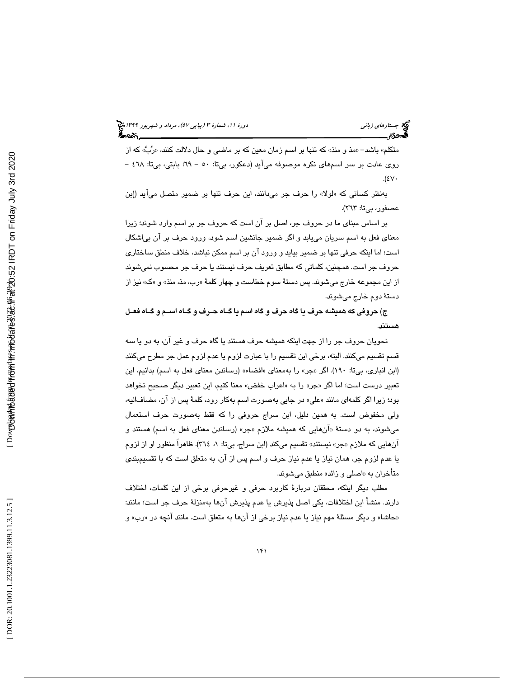متكلم» باشد– «مذ و منذ» كه تنها بر اسم زمان معين كه بر ماضى و حال دلالت كنند، «رُبَّ» كه از روي عادت بر سر اسمهاي نكره موصوفه ميآيد (دعكور، بي تا: - 50 69؛ بابتي، بي تا: 468 -  $.$ (٤٧٠

بهنظر كسانى كه «لولا» را حرف جر مىدانند، اين حرف تنها بر ضمير متصل مىايد (إبن عصفور، بيتا: ٢٦٣).

بر اساس مبناي ما در حروف جر، اصل بر آن است كه حروف جر بر اسم وارد شوند؛ زيرا معناي فعل به اسم سريان مييابد و اگر ضمير جانشين اسم شود، ورود حرف بر آن بياشكال است؛ اما اينكه حرفي تنها بر ضمير بيايد و ورود آن بر اسم ممكن نباشد، خلاف منطق ساختاري حروف جر است. همچنين، كلماتي كه مطابق تعريف حرف نيستند يا حرف جر محسوب نميشوند از اين مجموعه خارج ميشوند. پس دستهٔ سوم خطاست و چهار كلمهٔ «رب، مذ، منذ» و «ک» نيز از دستة دوم خارج ميشوند .

 )ج حروفي كه هميشه حرف يا گاه حرف و گاه اسم يا گـاه حـرف و گـاه اسـم و گـاه فعـل هستند .

نحويان حروف جر را از جهت اينكه هميشه حرف هستند يا گاه حرف و غير آن، به دو يا سه قسم تقسيم ميكنند. البته ، برخي اين تقسيم را با عبارت لزوم يا عدم لزوم عمل جر مطرح ميكنند (ابن انباري، بيتا: ١٩٠). اگر «جر» را بهمعناي «افضاء» (رساندن معناي فعل به اسم) بدانيم، اين تعبير درست است؛ اما اگر «جر» را به «اعراب خفض» معنا كنيم، اين تعبير ديگر صحيح نخواهد بود؛ زیرا اگر كلمها*ی* مانند «علی» در جایی بهصورت اسم بهكار رود، كلمهٔ پس از آن، مضافالیه، ولي مخفوض است. به همين دليل، ابن سراج حروفي را كه فقط بهصورت حرف استعمال میشوند، به دو دستهٔ «انهایی که همیشه ملازم «جر» (رساندن معنای فعل به اسم) هستند و انهایی که ملازم «جر» نیستند» تقسیم میکند (ابن سراج، بیتا: ۱، ۳۱۶). ظاهراً منظور او از لزوم يا عدم لزوم جر، همان نياز يا عدم نياز حرف و اسم پس از آن، به متعل ق است كه با تقسيمبندي متأخران به «اصلي و زائد» منطبق ميشوند.

مطلب ديگر اينكه، محققان دربار ة كاربرد حرفي و غيرحرفي برخي از اين كلمات، اختلاف دارند. منشأ اين اختلافات، يكي اصل پذيرش يا عدم پذيرش آنها بهمنزلة حرف جر است؛ مانند: «حاشا» و ديگر مسئلهٔ مهم نياز يا عدم نياز برخي از انها به متعلق است. مانند انچه در «رب» و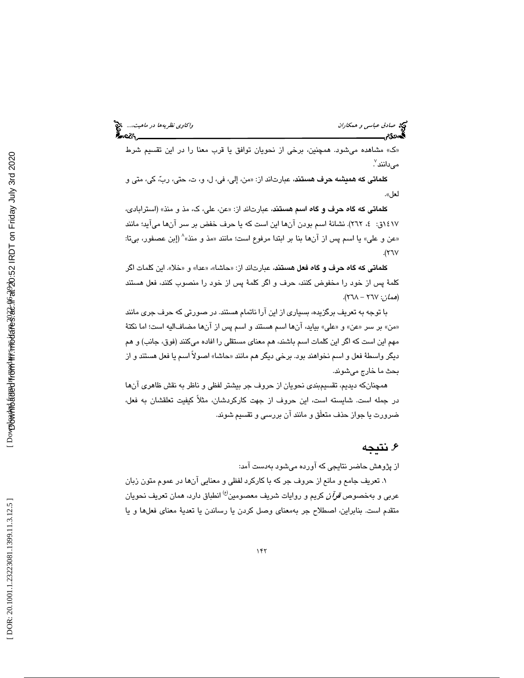» مشاهده ميشود. همچنين، برخي از نحويان توافق يا قرب معنا را در اين تقسيم شرط ك » مىدانند<sup>7</sup>.

كلماتي كه هميشه حرف هستند، عبارتاند از: «من، إلي، في، ل، و، ت، حتي، ربّ، كي، متي و لعل ».

كلماتي كه گاه حرف و گاه اسم هستند، عبارتاند از: «عن، علي، ك، مذ و منذ» (استرابادي، ١٤١٧ق: ٤، ٢٦٢). نشانهٔ اسم بودن انها اين است كه يا حرف خفض بر سر انها مىايد؛ مانند<br>«عن و على» يا اسم پس از آنها بنا بر ابتدا مرفوع است؛ مانند «مذ و منذ»^ (إبن عصفور، بيتا:  $\mathcal{X}(\mathsf{Y})$ 

كلماتي كه گاه حرف و گاه فعل هستند، عبارتاند از: «حاشا»، «عدا» و «خلا». اين كلمات اگر كلمهٔ پس از خود را مخفوض كنند، حرف و اگر كلمهٔ پس از خود را منصوب كنند، فعل هستند (هم*ان*: ٢٦٧ - ٢٦٨).

با توجه به تعريف برگزيده، بسياري از اين آرا ناتمام هستند. در صورتي كه حرف جري مانند «من» بر سر «عن» و «علي» بيايد، انها اسم هستند و اسم پس از انها مضافاليه است؛ اما نكتهٔ مهم اين است كه اگر اين كلمات اسم باشند، هم معناي مستقلي را افاده ميكنند (فوق، جانب) و هم ديگر واسطهٔ فعل و اسم نخواهند بود. برخی ديگر هم مانند «حاشا» اصولا اسم يا فعل هستند و از بحث ما خارج ميشوند.

همچنانكه ديديم، تقسيمبندي نحويان از حروف جر بيشتر لفظي و ناظر به نقش ظاهري آنها در جمله است. شايسته است، اين حروف از جهت كاركردشان، مثلاً كيفيت تعلقشان به فعل، ضرورت يا جواز حذف متعلَق و مانند آن بررسي و تقسيم شوند.

# . نتيجه 6

از پژوهش حاضر نتايجي كه آورده ميشود بهدست آمد:

. تعريف جامع و مانع از حروف جر كه با كاركرد لفظي و معنايي آنها در عموم متون زبان 1 عربي و بهخصوص *قرآن* كريم و روايات شريف معصومين<sup>(ع)</sup> انطباق دارد، همان تعريف نحويان متقدم است. بنابراين، اصطلاح جر بهمعناى وصل كردن يا رساندن يا تعدية معناى فعلها و يا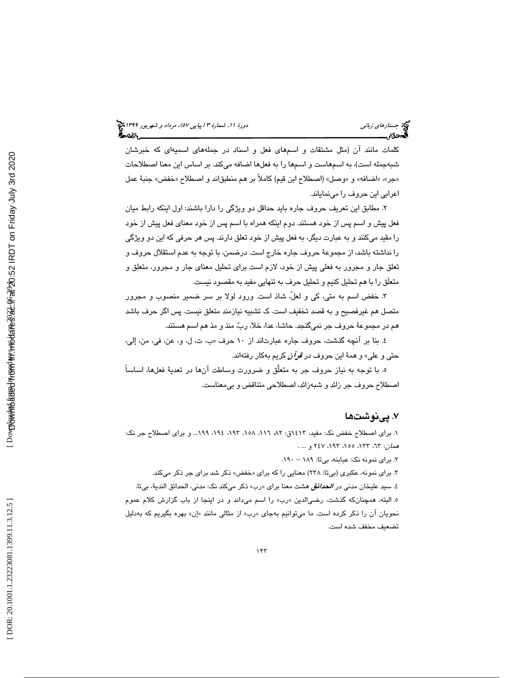كلمات مانند آن (مثل مشتقات و اسمهاي فعل و اسناد در جملههاي اسميهاي كه خبرشان شبهجمله است)، به اسمهاست و اسمها را به فعلها اضافه ميكند. بر اساس اين معنا اصطلاحات «جر»، «اضافه» و «وصل» (اصطلاح ابن قيم) كاملاً بر هم منطبقاند و اصطلاح «خفض» جنبهٔ عمل اعرابي اين حروف را مينماياند.

. مطابق اين تعريف حروف جاره بايد حداقل دو ويژگي را دارا باشند: اول اينكه رابط ميان 2 فعل پيش و اسم پس از خود هستند. دوم اينكه همراه با اسم پس از خود معناي فعل پيش از خود را مقيد ميكنند و به عبارت ديگر، به فعل پيش از خود تعلق دارند. پس هر حرفي كه اين دو ويژگي را نداشته باشد، از مجموعة حروف جاره خارج است. درضمن، با توجه به عدم استقلال حروف و تعلق جار و مجرور به فعلي پيش از خود، لازم است براي تحليل معناي جار و مجرور، متعلق و متعلَق را با هم تحليل كنيم و تحليل حرف به تنهايي مفيد به مقصود نيست.

۳. خفض اسم به متى، كى و لعل، شاذ است. ورود لولا بر سر ضمير منصوب و مجرور متصل هم غيرفصيح و به قصد تخفيف است. ك تشبيه نيازمند متعلق نيست. پس اگر حرف باشد هم در مجموعة حروف جر نميگنجد. حاشا، عدا، خلا، رب، منذ و مذ هم اسم هستند.

٤. بنا بر انچه گذشت، حروف جاره عبارتاند از ١٠ حرف «ب، ت، ل، و، عن، في، من، إلي، حتي و علي» و همة اين حروف در قرآن كريم بهكار رفتهاند.

ه. با توجه به نياز حروف جر به متعلق و ضرورت وساطت آنها در تعديهٔ فعلها، اساساً اصطلاح حروف جر زائد و شبهزائد، اصطلاحي متناقض و بيمعناست.

# 7 . پي ها نوشت

١. براي اصطلاح خفض نک: مفيد، ١٤١٣ق: ٨٢، ١٨٦، ١٩٨، ١٩٤، ١٩٩... و براي اصطلاح جر نک: : هم*ان: ٦*٣، ٦٣٣، ١٥٥، ١٩٣، ٢٤٧ و ... .

. 190 2. براي نمونه نك: عبابنه، بي تا: 189 –

۳. برای نمونه، عکبری (بیتا: ۲۳۸) معنایی را که برای «خفض» ذکر شد برای جر ذکر میکند. ٤. سبيد عليخان مدني در *الحدائق* هشت معنا براي «رب» ذكر ميكند نك: مدني، الحدائق الندية، بيتا. ه البته، همچنانكه گذشت، رضىالدين «رب» را اسم مىداند و در اينجا از باب گزارش كلام عموم نحویان آن را ذکر کرده است. ما میتوانیم بهجای «رب» از مثالی مانند «إن» بهره بگیریم که بهدلیل تضعيف مخفف شده است.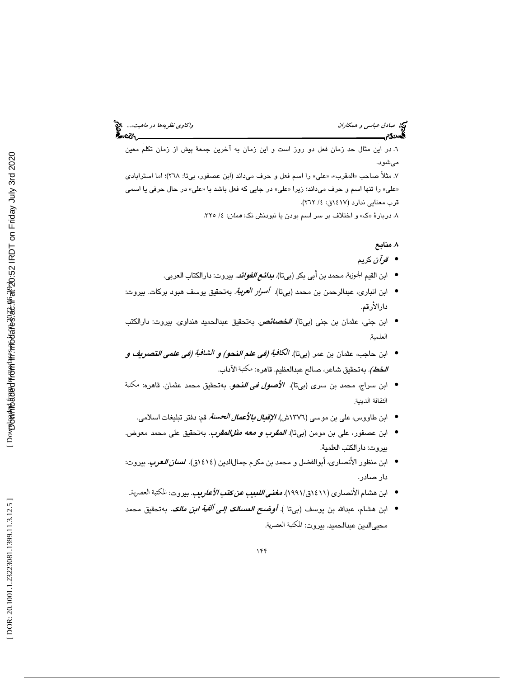6. در اين مثال حد زمان فعل دو روز است و اين زمان به آخرين جمعة پيش از زمان تكلم معين ميشود.

٧. مثلاً صاحب «المقرب»، «علي» را اسم فعل و حرف ميداند (ابن عصفور، بيتا: ٢٦٨)؛ اما استرابادي «علی» را تنها اسم و حرف میداند؛ زیرا «علی» در جایی که فعل باشد با «علی» در حال حرفی یا اسمی قرب معنايي ندارد (١٤١٧ق: ٤/ ٢٦٢).

۸. دربارهٔ «ک» و اختلاف بر سر اسم بودن یا نبودنش نک: *همان*: ٤/ ٣٢٥.

### . منابع 8

- قرآن كريم •
- ابن القيم الجوزية، محمد بن أبي بكر (بيتا). *بدائـع الفوائد*. بيروت: دارالكتاب العربي.
- ابن انباری، عبدالرحمن بن محمد (ب<sub>م</sub>تا). *أسرار العربية.* بهتحقيق يوسف هبود بركات. بيروت: دارالأرقم.
- ابن جنى، عثمان بن جنى (بيتا). الخصائص. بهتحقيق عبدالحميد هنداوي. بيروت: دارالكتب العلمية.
- ابن حاجب، عثمان بن عمر (بيتا). *الكافية (في علم النحو) و الشافية (في علمي التصريف و الخط).* بەتحقيق شاعر، صالح عبدالعظيم. قاهرە: مكتبة الآداب.
- ابن سراج، محمد بن سرى (بىتا)*. الأصول فى الن*حو. بهتحقيق محمد عثمان. قاهره: مكتبة الثقافة الديني<mark>ة.</mark>
	- ابن طاووس، علي بن موسى (١٣٧٦ش). *الإقبال بالأعمال الحسنة*. قم: دفتر تبليغات اسلامي.
- ابن عصفور، على بن مومن (ب<sub>ي</sub>تا)*. المقرب و معه مثلالمقوب*. بهتحقيق على محمد معوض. بيروت: دارالكتب العلمية.
- ابن منظور الأنصاري، أبوالفضل و محمد بن مكرم جمالالدين (١٤١٤ق). ا*لسان العرب*. بيروت: دار صادر.
- ابن هشام الأنصاري (١٤١١ق١٩٩١). *مغني اللبيب عن كتب الأعاريب*. بيروت: المكتبة العصرية..
- ابن هشام، عبدالله بن يوسف (ب<sub>ي</sub>تا ). *أوضح المسالك إلى ألفية ابن مالك*. بهتحقيق محمد محيىالدين عبدالحميد. بيروت: المكتبة العصرية.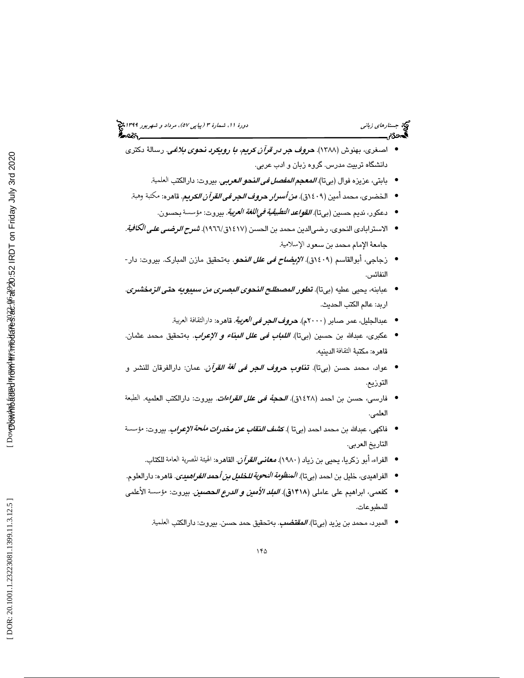- اصغري، بهنوش ( 1388). حروف جر در قرآن كريم، با رويكرد نحوي بلاغي . رسالة دكتري دانشگاه تربيت مدرس. گروه زبان و ادب عربي.
	- بابتي، عزيزه فوال (بيتا)*. المعجم المفصل في النحو العربي.* بيروت: دارالكتب العلمية.
- الخضري، محمد أمين (١٤٠٩ق). *من أسرار حروف الجر في القرآن الكريم*. قاهره: مكتبة وهبة<sub>.</sub>
	- دعكور، نديم حسين (بيتا) *القواعد التطبيقية فيإللغة العربية*. بيروت: مؤسسة بحسون.
- الاسترابادي النحوي، رضي|لدين محمد بن الحسن (١٤١٧ق/١٩٦٦). *شرح الرضي على الكافية.* جامعة الإمام محمد بن سعود الإسلامية.
- زجاجي، أبوالقاسم (١٤٠٩ق). *الإ<mark>يضاح في علل النحو</mark>.* بهتحقيق مازن المبارك. بيروت: دار-النفائس.
- عبابنه، يحيى عطيه (بيتا). *تطور المصطلح النحوي البصري من سيبويه حتى الزمخشري.* اربد: عالم الكتب الحديث.
	- عبدالجليل، عمر صابر (٢٠٠٠م). *حروف الـجر في العربية.* قاهره: دارالثقافة العربية.
- عكبرى، عبدالله بن حسين (بيتا). *اللباب في علل البناء و الإعراب*. بهتحقيق محمد عثمان. قاهره: مكتبة الدينيه.
- عواد، محمد حسن (بيتا). **تن***اوب حروف الجر في لغة القرآن.* **عمان:** دارالفرقان للنشر و التوزيع.
- فارسي، حسن بن احمد (٤٢٨ق). *الحجة في علل القراءات*. بيروت: دارالكتب العلميه. الطبعة العلمي.
- فاكهى، عبدالله بن محمد احمد (بيتا ). *كشف النقاب عن مخدرات ملحة الإعراب*. بيروت: مؤسسة التاريخ العربي.
	- الفراء، أبو زكريا، يحيى بن زياد (١٩٨٠). *معانـي القرآن*. القاهره: الهيئة المصرية العامة للكتاب.
- الفراهيدي، خليل بن احمد (بيتا). *المنظومة النحوية للخليل بن أحمد الفراهيدي*. قاهره: دارالعلوم.
- كفعمي، ابراهيم على عاملي (١۴١٨ق). *اللبلد الأمنين و الدرع الحصين.* بيروت: مؤسسة الأعلمي للمطبوعات.
	- المبرد، محمد بن يزيد (بيتا). *المقتضب*. بهتحقيق حمد حسن. بيروت: دارالكتب العلمية.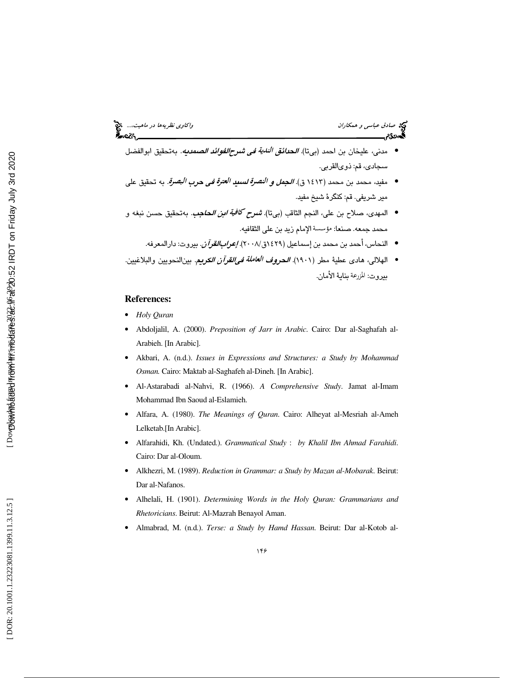- مدنى، عليخان بن احمد (بيتا). *الحدائق الندية في شرحالفوائد الصمديه*. بهتحقيق ابوالفضل سجادي، قم: ذويالقربى.
- مفيد، محمد بن محمد (١٤١٣ ق). *الجعل و النصرة لسبيد العترة في حرب البصرة.* به تحقيق على مير شريفي. قم: كنگرة شيخ مفيد.
- المهدى، صلاح بن علي، النجم الثاقب (بيتا). *شرح كافية ابن الحاج*ب. بهتحقيق حسن نبغه و محمد جمعه. صنعا: مؤسسة الإمام زيد بن علي الثقافيه.
	- النحاس، أحمد بن محمد بن إسماعيل (١٤٢٩ق/٢٠٠٨). *إعرابالقرآن*. بيروت: دارالمعرفه.
- الهلالي، هادي عطيةً مطر (١٩٠١). *الـحروف العاملة فـ<sub>ع</sub>القرآن الكربيم*. بين|النحويين والبلاغيين. بيروت: المزرعة بناية الأمان.

#### **References:**

- *Holy Quran*
- Abdoljalil, A. (2000). *Preposition of Jarr in Arabic*. Cairo: Dar al-Saghafah al-Arabieh. [In Arabic].
- Akbari, A. (n.d.). *Issues in Expressions and Structures: a Study by Mohammad Osman.* Cairo: Maktab al-Saghafeh al-Dineh. [In Arabic].
- Al-Astarabadi al-Nahvi, R. (1966). *A Comprehensive Study*. Jamat al-Imam Mohammad Ibn Saoud al-Eslamieh.
- Alfara, A. (1980). *The Meanings of Quran*. Cairo: Alheyat al-Mesriah al-Ameh Lelketab.[In Arabic].
- Alfarahidi, Kh. (Undated.). *Grammatical Study* : *by Khalil Ibn Ahmad Farahidi*. Cairo: Dar al-Oloum.
- Alkhezri, M. (1989). *Reduction in Grammar: a Study by Mazan al-Mobarak*. Beirut: Dar al-Nafanos.
- Alhelali, H. (1901). *Determining Words in the Holy Quran: Grammarians and Rhetoricians*. Beirut: Al-Mazrah Benayol Aman.
- Almabrad, M. (n.d.). *Terse: a Study by Hamd Hassan*. Beirut: Dar al-Kotob al-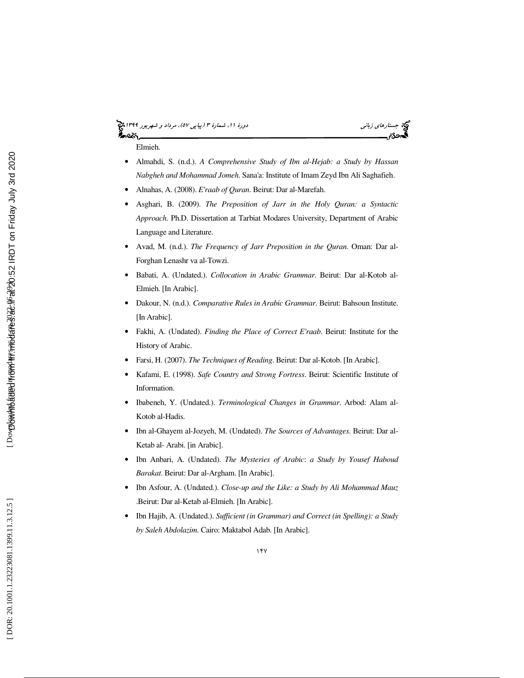# (پياپي 57)، مرداد و شهريور 1399 جستارهاي زباني دورة ،11 شمارة 3

Elmieh.

- Almahdi, S. (n.d.). *A Comprehensive Study of Ibn al-Hejab: a Study by Hassan Nabgheh and Mohammad Jomeh*. Sana'a: Institute of Imam Zeyd Ibn Ali Saghafieh.
- Alnahas, A. (2008). *E'raab of Quran*. Beirut: Dar al-Marefah.
- Asghari, B. (2009). *The Preposition of Jarr in the Holy Quran: a Syntactic Approach*. Ph.D. Dissertation at Tarbiat Modares University, Department of Arabic Language and Literature.
- Avad, M. (n.d.). *The Frequency of Jarr Preposition in the Quran*. Oman: Dar al-Forghan Lenashr va al-Towzi.
- Babati, A. (Undated.). *Collocation in Arabic Grammar*. Beirut: Dar al-Kotob al-Elmieh. [In Arabic].
- Dakour, N. (n.d.). *Comparative Rules in Arabic Grammar*. Beirut: Bahsoun Institute. [In Arabic].
- Fakhi, A. (Undated). *Finding the Place of Correct E'raab*. Beirut: Institute for the History of Arabic.
- Farsi, H. (2007). *The Techniques of Reading*. Beirut: Dar al-Kotob. [In Arabic].
- Kafami, E. (1998). *Safe Country and Strong Fortress*. Beirut: Scientific Institute of Information.
- Ibabeneh, Y. (Undated.). *Terminological Changes in Grammar*. Arbod: Alam al-Kotob al-Hadis.
- Ibn al-Ghayem al-Jozyeh, M. (Undated). *The Sources of Advantages*. Beirut: Dar al-Ketab al- Arabi. [in Arabic].
- Ibn Anbari, A. (Undated). *The Mysteries of Arabic*: *a Study by Yousef Haboud Barakat*. Beirut: Dar al-Argham. [In Arabic].
- Ibn Asfour, A. (Undated.). *Close-up and the Like: a Study by Ali Mohammad Mauz* .Beirut: Dar al-Ketab al-Elmieh. [In Arabic].
- Ibn Hajib, A. (Undated.). *Sufficient (in Grammar) and Correct (in Spelling): a Study by Saleh Abdolazim*. Cairo: Maktabol Adab. [In Arabic].